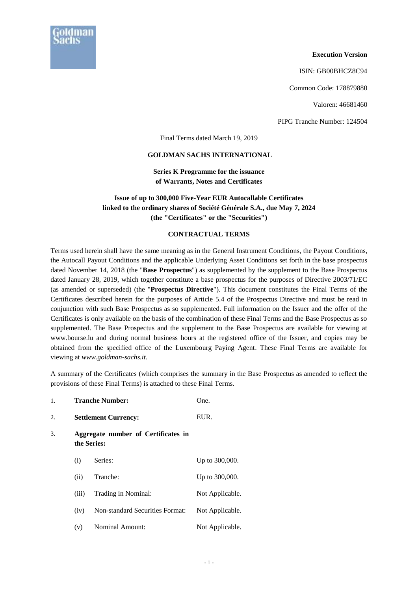

#### **Execution Version**

ISIN: GB00BHCZ8C94

Common Code: 178879880

Valoren: 46681460

PIPG Tranche Number: 124504

Final Terms dated March 19, 2019

#### **GOLDMAN SACHS INTERNATIONAL**

**Series K Programme for the issuance of Warrants, Notes and Certificates**

## **Issue of up to 300,000 Five-Year EUR Autocallable Certificates linked to the ordinary shares of Société Générale S.A., due May 7, 2024 (the "Certificates" or the "Securities")**

### **CONTRACTUAL TERMS**

Terms used herein shall have the same meaning as in the General Instrument Conditions, the Payout Conditions, the Autocall Payout Conditions and the applicable Underlying Asset Conditions set forth in the base prospectus dated November 14, 2018 (the "**Base Prospectus**") as supplemented by the supplement to the Base Prospectus dated January 28, 2019, which together constitute a base prospectus for the purposes of Directive 2003/71/EC (as amended or superseded) (the "**Prospectus Directive**"). This document constitutes the Final Terms of the Certificates described herein for the purposes of Article 5.4 of the Prospectus Directive and must be read in conjunction with such Base Prospectus as so supplemented. Full information on the Issuer and the offer of the Certificates is only available on the basis of the combination of these Final Terms and the Base Prospectus as so supplemented. The Base Prospectus and the supplement to the Base Prospectus are available for viewing at www.bourse.lu and during normal business hours at the registered office of the Issuer, and copies may be obtained from the specified office of the Luxembourg Paying Agent. These Final Terms are available for viewing at *www.goldman-sachs.it*.

A summary of the Certificates (which comprises the summary in the Base Prospectus as amended to reflect the provisions of these Final Terms) is attached to these Final Terms.

| 1. | <b>Tranche Number:</b><br><b>Settlement Currency:</b> |                                 | One.            |
|----|-------------------------------------------------------|---------------------------------|-----------------|
| 2. |                                                       |                                 | EUR.            |
| 3. | Aggregate number of Certificates in<br>the Series:    |                                 |                 |
|    | (i)                                                   | Series:                         | Up to 300,000.  |
|    | (ii)                                                  | Tranche:                        | Up to 300,000.  |
|    | (iii)                                                 | Trading in Nominal:             | Not Applicable. |
|    | (iv)                                                  | Non-standard Securities Format: | Not Applicable. |
|    | (v)                                                   | <b>Nominal Amount:</b>          | Not Applicable. |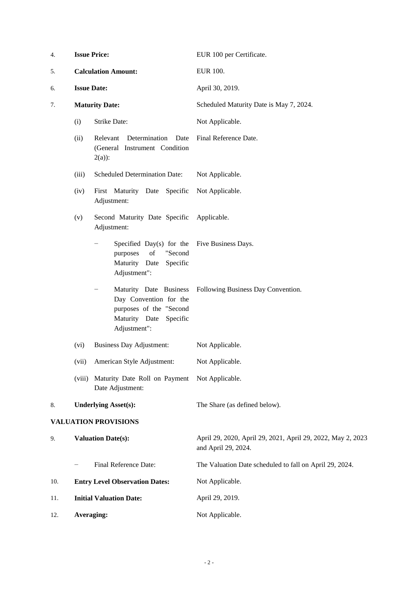| 4.  | <b>Issue Price:</b>        |                                                                                                                        | EUR 100 per Certificate.                                                           |  |
|-----|----------------------------|------------------------------------------------------------------------------------------------------------------------|------------------------------------------------------------------------------------|--|
| 5.  | <b>Calculation Amount:</b> |                                                                                                                        | <b>EUR 100.</b>                                                                    |  |
| 6.  | <b>Issue Date:</b>         |                                                                                                                        | April 30, 2019.                                                                    |  |
| 7.  |                            | <b>Maturity Date:</b>                                                                                                  | Scheduled Maturity Date is May 7, 2024.                                            |  |
|     | (i)                        | Strike Date:                                                                                                           | Not Applicable.                                                                    |  |
|     | (ii)                       | Determination<br>Relevant<br>Date<br>(General Instrument Condition<br>$2(a)$ :                                         | Final Reference Date.                                                              |  |
|     | (iii)                      | <b>Scheduled Determination Date:</b>                                                                                   | Not Applicable.                                                                    |  |
|     | (iv)                       | First Maturity Date<br>Specific<br>Adjustment:                                                                         | Not Applicable.                                                                    |  |
|     | (v)                        | Second Maturity Date Specific<br>Adjustment:                                                                           | Applicable.                                                                        |  |
|     |                            | Specified Day(s) for the Five Business Days.<br>of<br>"Second<br>purposes<br>Maturity Date<br>Specific<br>Adjustment": |                                                                                    |  |
|     |                            | Maturity Date Business<br>Day Convention for the<br>purposes of the "Second<br>Maturity Date Specific<br>Adjustment":  | Following Business Day Convention.                                                 |  |
|     | (vi)                       | <b>Business Day Adjustment:</b>                                                                                        | Not Applicable.                                                                    |  |
|     | (vii)                      | American Style Adjustment:                                                                                             | Not Applicable.                                                                    |  |
|     | (viii)                     | Maturity Date Roll on Payment<br>Date Adjustment:                                                                      | Not Applicable.                                                                    |  |
| 8.  |                            | <b>Underlying Asset(s):</b>                                                                                            | The Share (as defined below).                                                      |  |
|     |                            | <b>VALUATION PROVISIONS</b>                                                                                            |                                                                                    |  |
| 9.  |                            | <b>Valuation Date(s):</b>                                                                                              | April 29, 2020, April 29, 2021, April 29, 2022, May 2, 2023<br>and April 29, 2024. |  |
|     |                            | Final Reference Date:                                                                                                  | The Valuation Date scheduled to fall on April 29, 2024.                            |  |
| 10. |                            | <b>Entry Level Observation Dates:</b>                                                                                  | Not Applicable.                                                                    |  |
| 11. |                            | <b>Initial Valuation Date:</b>                                                                                         | April 29, 2019.                                                                    |  |
| 12. | <b>Averaging:</b>          |                                                                                                                        | Not Applicable.                                                                    |  |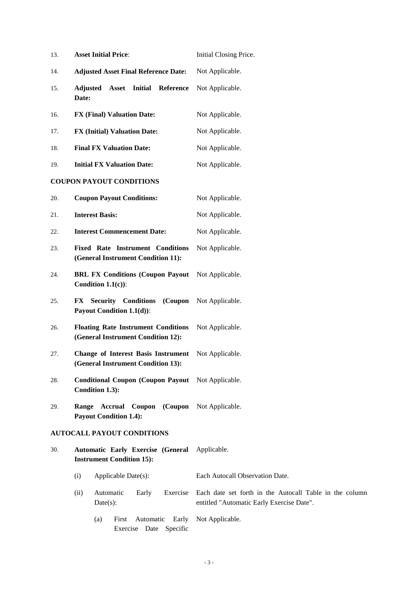| 13. | <b>Asset Initial Price:</b>                                                      | Initial Closing Price.                                                                               |
|-----|----------------------------------------------------------------------------------|------------------------------------------------------------------------------------------------------|
| 14. | <b>Adjusted Asset Final Reference Date:</b>                                      | Not Applicable.                                                                                      |
| 15. | <b>Asset</b> Initial<br>Reference<br>Adjusted<br>Date:                           | Not Applicable.                                                                                      |
| 16. | <b>FX (Final) Valuation Date:</b>                                                | Not Applicable.                                                                                      |
| 17. | <b>FX (Initial) Valuation Date:</b>                                              | Not Applicable.                                                                                      |
| 18. | <b>Final FX Valuation Date:</b>                                                  | Not Applicable.                                                                                      |
| 19. | <b>Initial FX Valuation Date:</b>                                                | Not Applicable.                                                                                      |
|     | <b>COUPON PAYOUT CONDITIONS</b>                                                  |                                                                                                      |
| 20. | <b>Coupon Payout Conditions:</b>                                                 | Not Applicable.                                                                                      |
| 21. | <b>Interest Basis:</b>                                                           | Not Applicable.                                                                                      |
| 22. | <b>Interest Commencement Date:</b>                                               | Not Applicable.                                                                                      |
| 23. | <b>Fixed Rate Instrument Conditions</b><br>(General Instrument Condition 11):    | Not Applicable.                                                                                      |
| 24. | <b>BRL FX Conditions (Coupon Payout</b><br>Condition $1.1(c)$ :                  | Not Applicable.                                                                                      |
| 25. | <b>Security Conditions</b><br>FX.<br>(Coupon<br>Payout Condition 1.1(d)):        | Not Applicable.                                                                                      |
| 26. | <b>Floating Rate Instrument Conditions</b><br>(General Instrument Condition 12): | Not Applicable.                                                                                      |
| 27. | <b>Change of Interest Basis Instrument</b><br>(General Instrument Condition 13): | Not Applicable.                                                                                      |
| 28. | Conditional Coupon (Coupon Payout Not Applicable.<br>Condition 1.3):             |                                                                                                      |
| 29. | Range Accrual Coupon<br>(Coupon<br><b>Payout Condition 1.4):</b>                 | Not Applicable.                                                                                      |
|     | <b>AUTOCALL PAYOUT CONDITIONS</b>                                                |                                                                                                      |
| 30. | <b>Automatic Early Exercise (General</b><br><b>Instrument Condition 15):</b>     | Applicable.                                                                                          |
|     | Applicable Date(s):<br>(i)                                                       | Each Autocall Observation Date.                                                                      |
|     | Automatic<br>Early<br>Exercise<br>(ii)<br>$Date(s)$ :                            | Each date set forth in the Autocall Table in the column<br>entitled "Automatic Early Exercise Date". |
|     |                                                                                  |                                                                                                      |

(a) First Automatic Early Not Applicable.Exercise Date Specific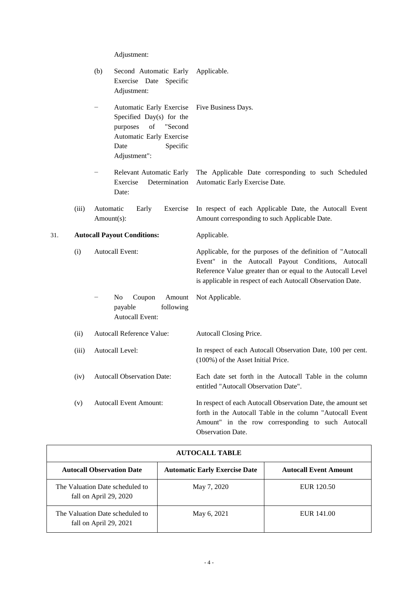# Adjustment:

|     |       | (b)<br>Second Automatic Early<br>Exercise Date<br>Specific<br>Adjustment:                                                                         | Applicable.                                                                                                                                                                                                                                     |
|-----|-------|---------------------------------------------------------------------------------------------------------------------------------------------------|-------------------------------------------------------------------------------------------------------------------------------------------------------------------------------------------------------------------------------------------------|
|     |       | Automatic Early Exercise<br>Specified Day(s) for the<br>of<br>"Second<br>purposes<br>Automatic Early Exercise<br>Specific<br>Date<br>Adjustment": | Five Business Days.                                                                                                                                                                                                                             |
|     |       | Relevant Automatic Early<br>Exercise<br>Determination<br>Date:                                                                                    | The Applicable Date corresponding to such Scheduled<br>Automatic Early Exercise Date.                                                                                                                                                           |
|     | (iii) | Automatic<br>Early<br>Exercise<br>Amount(s):                                                                                                      | In respect of each Applicable Date, the Autocall Event<br>Amount corresponding to such Applicable Date.                                                                                                                                         |
| 31. |       | <b>Autocall Payout Conditions:</b>                                                                                                                | Applicable.                                                                                                                                                                                                                                     |
|     | (i)   | <b>Autocall Event:</b>                                                                                                                            | Applicable, for the purposes of the definition of "Autocall<br>Event" in the Autocall Payout Conditions, Autocall<br>Reference Value greater than or equal to the Autocall Level<br>is applicable in respect of each Autocall Observation Date. |
|     |       | N <sub>0</sub><br>Coupon<br>Amount<br>following<br>payable<br><b>Autocall Event:</b>                                                              | Not Applicable.                                                                                                                                                                                                                                 |
|     | (ii)  | Autocall Reference Value:                                                                                                                         | Autocall Closing Price.                                                                                                                                                                                                                         |
|     | (iii) | Autocall Level:                                                                                                                                   | In respect of each Autocall Observation Date, 100 per cent.<br>(100%) of the Asset Initial Price.                                                                                                                                               |
|     | (iv)  | <b>Autocall Observation Date:</b>                                                                                                                 | Each date set forth in the Autocall Table in the column<br>entitled "Autocall Observation Date".                                                                                                                                                |
|     | (v)   | <b>Autocall Event Amount:</b>                                                                                                                     | In respect of each Autocall Observation Date, the amount set<br>forth in the Autocall Table in the column "Autocall Event<br>Amount" in the row corresponding to such Autocall<br>Observation Date.                                             |

| <b>AUTOCALL TABLE</b>                                     |                                      |                              |  |
|-----------------------------------------------------------|--------------------------------------|------------------------------|--|
| <b>Autocall Observation Date</b>                          | <b>Automatic Early Exercise Date</b> | <b>Autocall Event Amount</b> |  |
| The Valuation Date scheduled to<br>fall on April 29, 2020 | May 7, 2020                          | EUR 120.50                   |  |
| The Valuation Date scheduled to<br>fall on April 29, 2021 | May 6, 2021                          | EUR 141.00                   |  |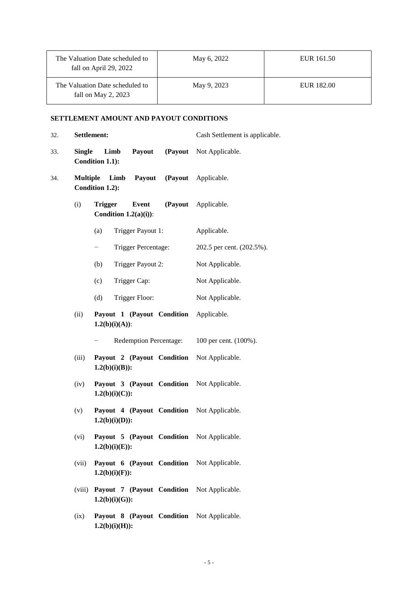| The Valuation Date scheduled to<br>fall on April 29, 2022   | May 6, 2022 | EUR 161.50 |
|-------------------------------------------------------------|-------------|------------|
| The Valuation Date scheduled to<br>fall on May $2$ , $2023$ | May 9, 2023 | EUR 182.00 |

# **SETTLEMENT AMOUNT AND PAYOUT CONDITIONS**

| 32. |                 | Settlement:                                                     | Cash Settlement is applicable. |
|-----|-----------------|-----------------------------------------------------------------|--------------------------------|
| 33. | <b>Single</b>   | Limb<br>Payout (Payout<br>Condition 1.1):                       | Not Applicable.                |
| 34. | <b>Multiple</b> | Limb<br>Payout<br>Condition 1.2):                               | (Payout Applicable.            |
|     | (i)             | <b>Trigger</b><br>Event<br>Condition $1.2(a)(i)$ :              | (Payout Applicable.            |
|     |                 | (a)<br>Trigger Payout 1:                                        | Applicable.                    |
|     |                 | Trigger Percentage:<br>—                                        | 202.5 per cent. (202.5%).      |
|     |                 | (b)<br>Trigger Payout 2:                                        | Not Applicable.                |
|     |                 | (c)<br>Trigger Cap:                                             | Not Applicable.                |
|     |                 | (d)<br>Trigger Floor:                                           | Not Applicable.                |
|     | (ii)            | Payout 1 (Payout Condition Applicable.<br>$1.2(b)(i)(A))$ :     |                                |
|     |                 | Redemption Percentage: 100 per cent. (100%).                    |                                |
|     | (iii)           | Payout 2 (Payout Condition Not Applicable.<br>$1.2(b)(i)(B))$ : |                                |
|     | (iv)            | Payout 3 (Payout Condition Not Applicable.<br>$1.2(b)(i)(C))$ : |                                |
|     | (v)             | Payout 4 (Payout Condition Not Applicable.<br>$1.2(b)(i)(D))$ : |                                |
|     | (vi)            | Payout 5 (Payout Condition Not Applicable.<br>$1.2(b)(i)(E))$ : |                                |
|     | (vii)           | Payout 6 (Payout Condition Not Applicable.<br>$1.2(b)(i)(F)$ :  |                                |
|     | (viii)          | Payout 7 (Payout Condition Not Applicable.<br>$1.2(b)(i)(G))$ : |                                |
|     | (ix)            | Payout 8 (Payout Condition Not Applicable.<br>$1.2(b)(i)(H))$ : |                                |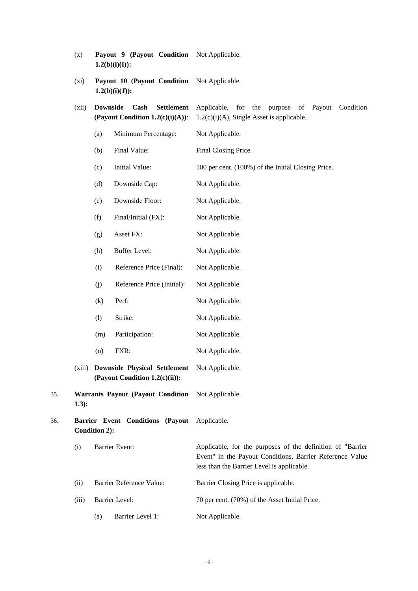|     | (x)    |                 | Payout 9 (Payout Condition<br>$1.2(b)(i)(I))$ :                       | Not Applicable.                                                                                                                                                      |
|-----|--------|-----------------|-----------------------------------------------------------------------|----------------------------------------------------------------------------------------------------------------------------------------------------------------------|
|     | (xi)   |                 | Payout 10 (Payout Condition<br>$1.2(b)(i)(J))$ :                      | Not Applicable.                                                                                                                                                      |
|     | (xii)  | <b>Downside</b> | Cash<br><b>Settlement</b><br>(Payout Condition $1.2(c)(i)(A))$ :      | Applicable,<br>the<br>purpose<br>Condition<br>for<br>of<br>Payout<br>$1.2(c)(i)(A)$ , Single Asset is applicable.                                                    |
|     |        | (a)             | Minimum Percentage:                                                   | Not Applicable.                                                                                                                                                      |
|     |        | (b)             | Final Value:                                                          | Final Closing Price.                                                                                                                                                 |
|     |        | (c)             | Initial Value:                                                        | 100 per cent. (100%) of the Initial Closing Price.                                                                                                                   |
|     |        | (d)             | Downside Cap:                                                         | Not Applicable.                                                                                                                                                      |
|     |        | (e)             | Downside Floor:                                                       | Not Applicable.                                                                                                                                                      |
|     |        | (f)             | Final/Initial (FX):                                                   | Not Applicable.                                                                                                                                                      |
|     |        | (g)             | Asset FX:                                                             | Not Applicable.                                                                                                                                                      |
|     |        | (h)             | <b>Buffer Level:</b>                                                  | Not Applicable.                                                                                                                                                      |
|     |        | (i)             | Reference Price (Final):                                              | Not Applicable.                                                                                                                                                      |
|     |        | (j)             | Reference Price (Initial):                                            | Not Applicable.                                                                                                                                                      |
|     |        | (k)             | Perf:                                                                 | Not Applicable.                                                                                                                                                      |
|     |        | (1)             | Strike:                                                               | Not Applicable.                                                                                                                                                      |
|     |        | (m)             | Participation:                                                        | Not Applicable.                                                                                                                                                      |
|     |        | (n)             | FXR:                                                                  | Not Applicable.                                                                                                                                                      |
|     | (x111) |                 | <b>Downside Physical Settlement</b><br>(Payout Condition 1.2(c)(ii)): | Not Applicable.                                                                                                                                                      |
| 35. | 1.3):  |                 | <b>Warrants Payout (Payout Condition</b>                              | Not Applicable.                                                                                                                                                      |
| 36. |        | Condition 2):   | Barrier Event Conditions (Payout                                      | Applicable.                                                                                                                                                          |
|     | (i)    |                 | <b>Barrier Event:</b>                                                 | Applicable, for the purposes of the definition of "Barrier<br>Event" in the Payout Conditions, Barrier Reference Value<br>less than the Barrier Level is applicable. |
|     | (ii)   |                 | Barrier Reference Value:                                              | Barrier Closing Price is applicable.                                                                                                                                 |
|     | (iii)  |                 | <b>Barrier Level:</b>                                                 | 70 per cent. (70%) of the Asset Initial Price.                                                                                                                       |
|     |        | (a)             | Barrier Level 1:                                                      | Not Applicable.                                                                                                                                                      |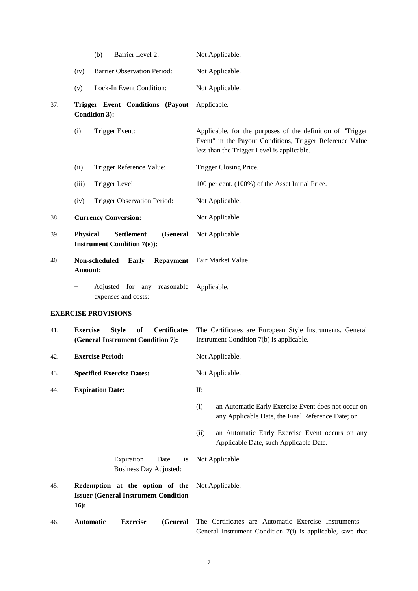|     | (b)<br><b>Barrier Level 2:</b>                                                                    | Not Applicable.                                                                                                                                                      |
|-----|---------------------------------------------------------------------------------------------------|----------------------------------------------------------------------------------------------------------------------------------------------------------------------|
|     | <b>Barrier Observation Period:</b><br>(iv)                                                        | Not Applicable.                                                                                                                                                      |
|     | Lock-In Event Condition:<br>(v)                                                                   | Not Applicable.                                                                                                                                                      |
| 37. | Trigger Event Conditions (Payout<br><b>Condition 3):</b>                                          | Applicable.                                                                                                                                                          |
|     | (i)<br>Trigger Event:                                                                             | Applicable, for the purposes of the definition of "Trigger<br>Event" in the Payout Conditions, Trigger Reference Value<br>less than the Trigger Level is applicable. |
|     | (ii)<br>Trigger Reference Value:                                                                  | Trigger Closing Price.                                                                                                                                               |
|     | Trigger Level:<br>(iii)                                                                           | 100 per cent. (100%) of the Asset Initial Price.                                                                                                                     |
|     | Trigger Observation Period:<br>(iv)                                                               | Not Applicable.                                                                                                                                                      |
| 38. | <b>Currency Conversion:</b>                                                                       | Not Applicable.                                                                                                                                                      |
| 39. | <b>Physical</b><br><b>Settlement</b><br>(General<br><b>Instrument Condition 7(e)):</b>            | Not Applicable.                                                                                                                                                      |
| 40. | Non-scheduled<br><b>Early</b><br>Amount:                                                          | <b>Repayment</b> Fair Market Value.                                                                                                                                  |
|     | Adjusted for any reasonable<br>expenses and costs:                                                | Applicable.                                                                                                                                                          |
|     | <b>EXERCISE PROVISIONS</b>                                                                        |                                                                                                                                                                      |
| 41. | <b>Exercise</b><br><b>Style</b><br>of<br><b>Certificates</b><br>(General Instrument Condition 7): | The Certificates are European Style Instruments. General<br>Instrument Condition 7(b) is applicable.                                                                 |
| 42. | <b>Exercise Period:</b>                                                                           | Not Applicable.                                                                                                                                                      |
| 43. | <b>Specified Exercise Dates:</b>                                                                  | Not Applicable.                                                                                                                                                      |
| 44. | <b>Expiration Date:</b>                                                                           | If:                                                                                                                                                                  |
|     |                                                                                                   | (i)<br>an Automatic Early Exercise Event does not occur on<br>any Applicable Date, the Final Reference Date; or                                                      |
|     |                                                                                                   | (ii)<br>an Automatic Early Exercise Event occurs on any<br>Applicable Date, such Applicable Date.                                                                    |
|     | Expiration<br>Date<br>is<br><b>Business Day Adjusted:</b>                                         | Not Applicable.                                                                                                                                                      |
| 45. | Redemption at the option of the<br><b>Issuer (General Instrument Condition</b><br>16):            | Not Applicable.                                                                                                                                                      |
| 46. | <b>Exercise</b><br><b>Automatic</b><br>(General                                                   | The Certificates are Automatic Exercise Instruments –<br>General Instrument Condition 7(i) is applicable, save that                                                  |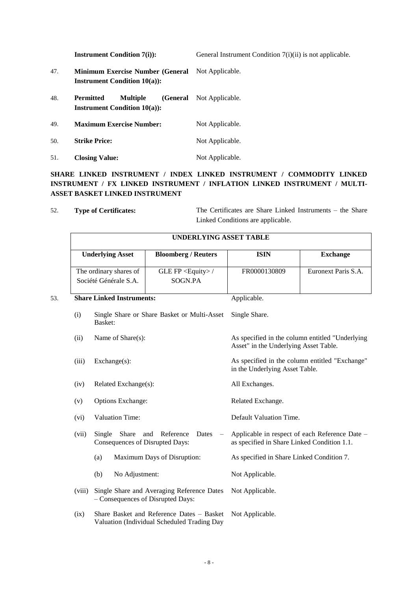**Instrument Condition 7(i)):** General Instrument Condition 7(i)(ii) is not applicable.

- 47. **Minimum Exercise Number (General**  Not Applicable. **Instrument Condition 10(a)):**
- 48. **Permitted Multiple Instrument Condition 10(a)):** (General Not Applicable. 49. **Maximum Exercise Number:** Not Applicable.
- 50. **Strike Price:** Not Applicable.
- 51. **Closing Value:** Not Applicable.

# **SHARE LINKED INSTRUMENT / INDEX LINKED INSTRUMENT / COMMODITY LINKED INSTRUMENT / FX LINKED INSTRUMENT / INFLATION LINKED INSTRUMENT / MULTI-ASSET BASKET LINKED INSTRUMENT**

52. **Type of Certificates:** The Certificates are Share Linked Instruments – the Share Linked Conditions are applicable.

| UNDERLYING ASSET TABLE                          |                                       |              |                     |  |
|-------------------------------------------------|---------------------------------------|--------------|---------------------|--|
| <b>Underlying Asset</b>                         | <b>Bloomberg / Reuters</b>            | <b>ISIN</b>  | <b>Exchange</b>     |  |
| The ordinary shares of<br>Société Générale S.A. | GLE FP $\leq$ Equity $>$ /<br>SOGN.PA | FR0000130809 | Euronext Paris S.A. |  |
| $\cdot$<br>$\cdots$<br>$\sim$                   |                                       |              |                     |  |

### 53. **Share Linked Instruments:** Applicable.

| (i)    | Single Share or Share Basket or Multi-Asset<br>Basket:                                   | Single Share.                                                                                 |
|--------|------------------------------------------------------------------------------------------|-----------------------------------------------------------------------------------------------|
| (ii)   | Name of Share(s):                                                                        | As specified in the column entitled "Underlying<br>Asset" in the Underlying Asset Table.      |
| (iii)  | $Exchange(s)$ :                                                                          | As specified in the column entitled "Exchange"<br>in the Underlying Asset Table.              |
| (iv)   | Related Exchange(s):                                                                     | All Exchanges.                                                                                |
| (v)    | <b>Options Exchange:</b>                                                                 | Related Exchange.                                                                             |
| (vi)   | <b>Valuation Time:</b>                                                                   | Default Valuation Time.                                                                       |
| (vii)  | Share and Reference<br>Single<br>Dates<br>Consequences of Disrupted Days:                | Applicable in respect of each Reference Date -<br>as specified in Share Linked Condition 1.1. |
|        | Maximum Days of Disruption:<br>(a)                                                       | As specified in Share Linked Condition 7.                                                     |
|        | No Adjustment:<br>(b)                                                                    | Not Applicable.                                                                               |
| (viii) | Single Share and Averaging Reference Dates<br>- Consequences of Disrupted Days:          | Not Applicable.                                                                               |
| (ix)   | Share Basket and Reference Dates – Basket<br>Valuation (Individual Scheduled Trading Day | Not Applicable.                                                                               |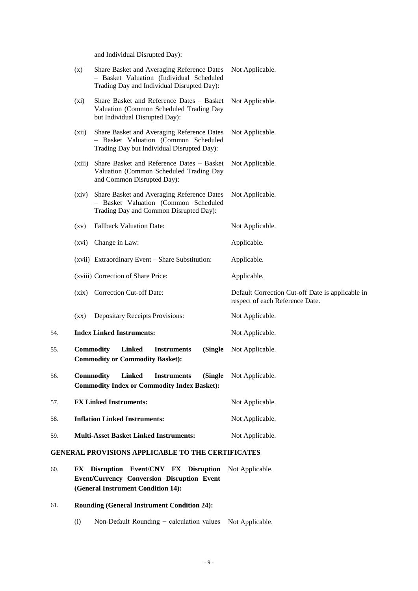and Individual Disrupted Day):

|     | (x)                                                      | Share Basket and Averaging Reference Dates<br>- Basket Valuation (Individual Scheduled<br>Trading Day and Individual Disrupted Day): | Not Applicable.                                                                     |  |  |
|-----|----------------------------------------------------------|--------------------------------------------------------------------------------------------------------------------------------------|-------------------------------------------------------------------------------------|--|--|
|     | $(x_i)$                                                  | Share Basket and Reference Dates - Basket<br>Valuation (Common Scheduled Trading Day<br>but Individual Disrupted Day):               | Not Applicable.                                                                     |  |  |
|     | (xii)                                                    | Share Basket and Averaging Reference Dates<br>- Basket Valuation (Common Scheduled<br>Trading Day but Individual Disrupted Day):     | Not Applicable.                                                                     |  |  |
|     | (xiii)                                                   | Share Basket and Reference Dates - Basket<br>Valuation (Common Scheduled Trading Day<br>and Common Disrupted Day):                   | Not Applicable.                                                                     |  |  |
|     | (xiv)                                                    | Share Basket and Averaging Reference Dates<br>- Basket Valuation (Common Scheduled<br>Trading Day and Common Disrupted Day):         | Not Applicable.                                                                     |  |  |
|     | $\left( xy\right)$                                       | <b>Fallback Valuation Date:</b>                                                                                                      | Not Applicable.                                                                     |  |  |
|     |                                                          | (xvi) Change in Law:                                                                                                                 | Applicable.                                                                         |  |  |
|     |                                                          | (xvii) Extraordinary Event - Share Substitution:                                                                                     | Applicable.                                                                         |  |  |
|     |                                                          | (xviii) Correction of Share Price:                                                                                                   | Applicable.                                                                         |  |  |
|     |                                                          | (xix) Correction Cut-off Date:                                                                                                       | Default Correction Cut-off Date is applicable in<br>respect of each Reference Date. |  |  |
|     | $\left( xx\right)$                                       | Depositary Receipts Provisions:                                                                                                      | Not Applicable.                                                                     |  |  |
| 54. |                                                          | <b>Index Linked Instruments:</b>                                                                                                     | Not Applicable.                                                                     |  |  |
| 55. |                                                          | <b>Commodity</b><br><b>Linked</b><br><b>Instruments</b><br>(Single<br><b>Commodity or Commodity Basket):</b>                         | Not Applicable.                                                                     |  |  |
| 56. |                                                          | Commodity<br>Linked<br><b>Instruments</b><br><b>Commodity Index or Commodity Index Basket):</b>                                      | (Single Not Applicable.                                                             |  |  |
| 57. |                                                          | <b>FX Linked Instruments:</b>                                                                                                        | Not Applicable.                                                                     |  |  |
| 58. |                                                          | <b>Inflation Linked Instruments:</b>                                                                                                 | Not Applicable.                                                                     |  |  |
| 59. |                                                          | <b>Multi-Asset Basket Linked Instruments:</b>                                                                                        | Not Applicable.                                                                     |  |  |
|     | <b>GENERAL PROVISIONS APPLICABLE TO THE CERTIFICATES</b> |                                                                                                                                      |                                                                                     |  |  |
| 60. |                                                          | FX Disruption Event/CNY FX Disruption<br><b>Event/Currency Conversion Disruption Event</b><br>(General Instrument Condition 14):     | Not Applicable.                                                                     |  |  |

- 61. **Rounding (General Instrument Condition 24):**
	- (i) Non-Default Rounding − calculation values Not Applicable.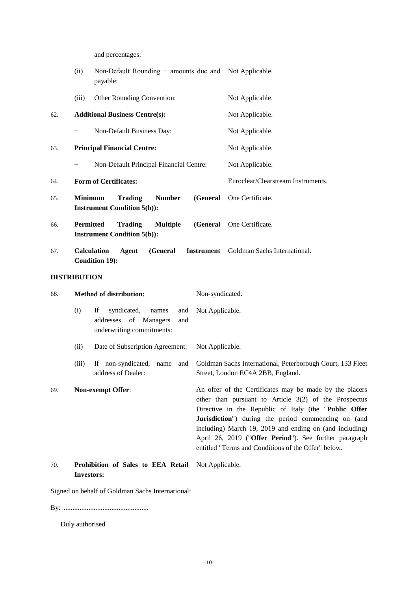and percentages:

|     | (ii)                                                                | Non-Default Rounding $-$ amounts due and<br>payable:                                              |                                                                                                 | Not Applicable.                                                                                                                                                                                                                                                                                                                                                                                                |  |
|-----|---------------------------------------------------------------------|---------------------------------------------------------------------------------------------------|-------------------------------------------------------------------------------------------------|----------------------------------------------------------------------------------------------------------------------------------------------------------------------------------------------------------------------------------------------------------------------------------------------------------------------------------------------------------------------------------------------------------------|--|
|     | (iii)                                                               | Other Rounding Convention:                                                                        |                                                                                                 | Not Applicable.                                                                                                                                                                                                                                                                                                                                                                                                |  |
| 62. |                                                                     | <b>Additional Business Centre(s):</b>                                                             |                                                                                                 | Not Applicable.                                                                                                                                                                                                                                                                                                                                                                                                |  |
|     |                                                                     | Non-Default Business Day:                                                                         |                                                                                                 | Not Applicable.                                                                                                                                                                                                                                                                                                                                                                                                |  |
| 63. |                                                                     | <b>Principal Financial Centre:</b>                                                                |                                                                                                 | Not Applicable.                                                                                                                                                                                                                                                                                                                                                                                                |  |
|     |                                                                     | Non-Default Principal Financial Centre:                                                           |                                                                                                 | Not Applicable.                                                                                                                                                                                                                                                                                                                                                                                                |  |
| 64. |                                                                     | <b>Form of Certificates:</b>                                                                      |                                                                                                 | Euroclear/Clearstream Instruments.                                                                                                                                                                                                                                                                                                                                                                             |  |
| 65. | <b>Minimum</b>                                                      | <b>Trading</b><br><b>Number</b><br><b>Instrument Condition 5(b)):</b>                             | (General                                                                                        | One Certificate.                                                                                                                                                                                                                                                                                                                                                                                               |  |
| 66. | <b>Permitted</b>                                                    | <b>Trading</b><br><b>Multiple</b><br><b>Instrument Condition 5(b)):</b>                           | (General                                                                                        | One Certificate.                                                                                                                                                                                                                                                                                                                                                                                               |  |
| 67. |                                                                     | <b>Calculation</b><br>(General<br><b>Agent</b><br><b>Condition 19):</b>                           | <b>Instrument</b>                                                                               | Goldman Sachs International.                                                                                                                                                                                                                                                                                                                                                                                   |  |
|     | <b>DISTRIBUTION</b>                                                 |                                                                                                   |                                                                                                 |                                                                                                                                                                                                                                                                                                                                                                                                                |  |
| 68. |                                                                     | <b>Method of distribution:</b>                                                                    | Non-syndicated.                                                                                 |                                                                                                                                                                                                                                                                                                                                                                                                                |  |
|     | (i)                                                                 | If<br>syndicated,<br>names<br>and<br>addresses<br>of Managers<br>and<br>underwriting commitments: | Not Applicable.                                                                                 |                                                                                                                                                                                                                                                                                                                                                                                                                |  |
|     | (ii)                                                                | Date of Subscription Agreement:                                                                   | Not Applicable.                                                                                 |                                                                                                                                                                                                                                                                                                                                                                                                                |  |
|     | (iii)<br>non-syndicated,<br>If<br>name<br>and<br>address of Dealer: |                                                                                                   | Goldman Sachs International, Peterborough Court, 133 Fleet<br>Street, London EC4A 2BB, England. |                                                                                                                                                                                                                                                                                                                                                                                                                |  |
| 69. |                                                                     | Non-exempt Offer:                                                                                 |                                                                                                 | An offer of the Certificates may be made by the placers<br>other than pursuant to Article $3(2)$ of the Prospectus<br>Directive in the Republic of Italy (the "Public Offer<br>Jurisdiction") during the period commencing on (and<br>including) March 19, 2019 and ending on (and including)<br>April 26, 2019 ("Offer Period"). See further paragraph<br>entitled "Terms and Conditions of the Offer" below. |  |
| 70. | <b>Investors:</b>                                                   | Prohibition of Sales to EEA Retail                                                                | Not Applicable.                                                                                 |                                                                                                                                                                                                                                                                                                                                                                                                                |  |

Signed on behalf of Goldman Sachs International:

By: ................................................

Duly authorised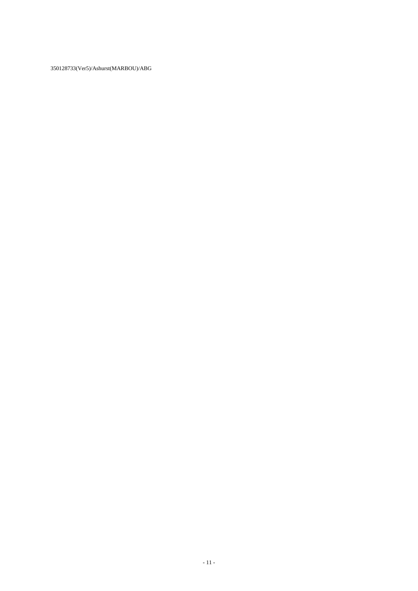350128733(Ver5)/Ashurst(MARBOU)/ABG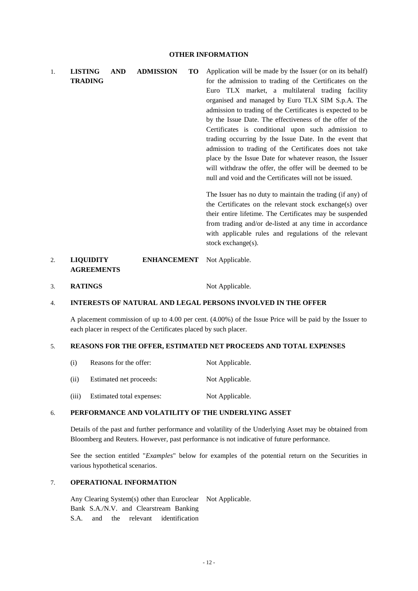1. **LISTING AND ADMISSION TO TRADING** Application will be made by the Issuer (or on its behalf) for the admission to trading of the Certificates on the Euro TLX market, a multilateral trading facility organised and managed by Euro TLX SIM S.p.A. The admission to trading of the Certificates is expected to be by the Issue Date. The effectiveness of the offer of the Certificates is conditional upon such admission to trading occurring by the Issue Date. In the event that admission to trading of the Certificates does not take place by the Issue Date for whatever reason, the Issuer will withdraw the offer, the offer will be deemed to be null and void and the Certificates will not be issued. The Issuer has no duty to maintain the trading (if any) of

the Certificates on the relevant stock exchange(s) over their entire lifetime. The Certificates may be suspended from trading and/or de-listed at any time in accordance with applicable rules and regulations of the relevant stock exchange(s).

#### 2. **LIQUIDITY ENHANCEMENT AGREEMENTS** Not Applicable.

3. **RATINGS** Not Applicable.

## 4. **INTERESTS OF NATURAL AND LEGAL PERSONS INVOLVED IN THE OFFER**

A placement commission of up to 4.00 per cent. (4.00%) of the Issue Price will be paid by the Issuer to each placer in respect of the Certificates placed by such placer.

### 5. **REASONS FOR THE OFFER, ESTIMATED NET PROCEEDS AND TOTAL EXPENSES**

- (i) Reasons for the offer: Not Applicable. (ii) Estimated net proceeds: Not Applicable.
- (iii) Estimated total expenses: Not Applicable.

## 6. **PERFORMANCE AND VOLATILITY OF THE UNDERLYING ASSET**

Details of the past and further performance and volatility of the Underlying Asset may be obtained from Bloomberg and Reuters. However, past performance is not indicative of future performance.

See the section entitled "*Examples*" below for examples of the potential return on the Securities in various hypothetical scenarios.

### 7. **OPERATIONAL INFORMATION**

Any Clearing System(s) other than Euroclear Not Applicable.Bank S.A./N.V. and Clearstream Banking S.A. and the relevant identification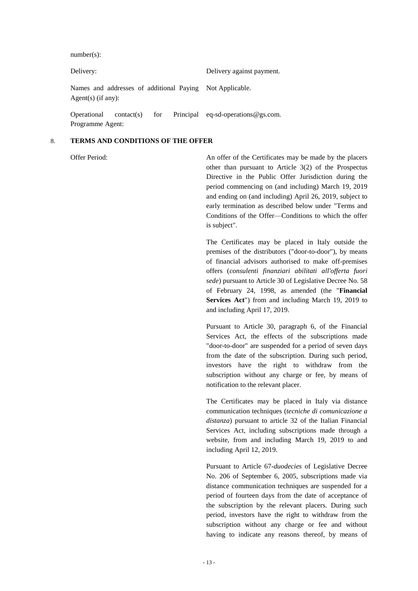number(s):

| Delivery:                                     |  |                                                          | Delivery against payment.                          |
|-----------------------------------------------|--|----------------------------------------------------------|----------------------------------------------------|
| Agent(s) (if any):                            |  | Names and addresses of additional Paying Not Applicable. |                                                    |
| <i><b>Operational</b></i><br>Programme Agent: |  |                                                          | contact(s) for Principal eq-sd-operations @gs.com. |

### 8. **TERMS AND CONDITIONS OF THE OFFER**

Offer Period: An offer of the Certificates may be made by the placers other than pursuant to Article 3(2) of the Prospectus Directive in the Public Offer Jurisdiction during the period commencing on (and including) March 19, 2019 and ending on (and including) April 26, 2019, subject to early termination as described below under "Terms and Conditions of the Offer—Conditions to which the offer is subject".

> The Certificates may be placed in Italy outside the premises of the distributors ("door-to-door"), by means of financial advisors authorised to make off-premises offers (*consulenti finanziari abilitati all'offerta fuori sede*) pursuant to Article 30 of Legislative Decree No. 58 of February 24, 1998, as amended (the "**Financial Services Act**") from and including March 19, 2019 to and including April 17, 2019.

> Pursuant to Article 30, paragraph 6, of the Financial Services Act, the effects of the subscriptions made "door-to-door" are suspended for a period of seven days from the date of the subscription. During such period, investors have the right to withdraw from the subscription without any charge or fee, by means of notification to the relevant placer.

> The Certificates may be placed in Italy via distance communication techniques (*tecniche di comunicazione a distanza*) pursuant to article 32 of the Italian Financial Services Act, including subscriptions made through a website, from and including March 19, 2019 to and including April 12, 2019.

> Pursuant to Article 67-*duodecies* of Legislative Decree No. 206 of September 6, 2005, subscriptions made via distance communication techniques are suspended for a period of fourteen days from the date of acceptance of the subscription by the relevant placers. During such period, investors have the right to withdraw from the subscription without any charge or fee and without having to indicate any reasons thereof, by means of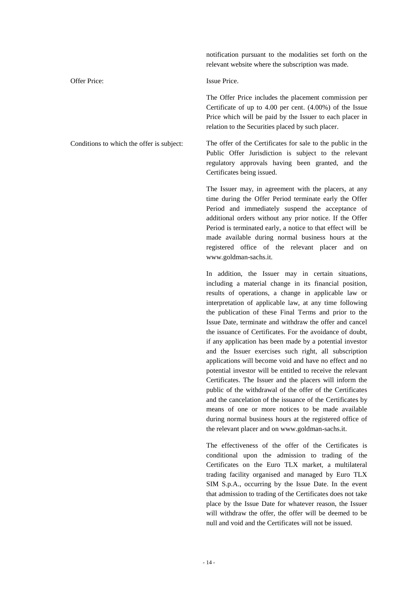notification pursuant to the modalities set forth on the relevant website where the subscription was made.

Offer Price: Issue Price.

The Offer Price includes the placement commission per Certificate of up to 4.00 per cent. (4.00%) of the Issue Price which will be paid by the Issuer to each placer in relation to the Securities placed by such placer.

Conditions to which the offer is subject: The offer of the Certificates for sale to the public in the Public Offer Jurisdiction is subject to the relevant regulatory approvals having been granted, and the Certificates being issued.

> The Issuer may, in agreement with the placers, at any time during the Offer Period terminate early the Offer Period and immediately suspend the acceptance of additional orders without any prior notice. If the Offer Period is terminated early, a notice to that effect will be made available during normal business hours at the registered office of the relevant placer and on www.goldman-sachs.it.

> In addition, the Issuer may in certain situations, including a material change in its financial position, results of operations, a change in applicable law or interpretation of applicable law, at any time following the publication of these Final Terms and prior to the Issue Date, terminate and withdraw the offer and cancel the issuance of Certificates. For the avoidance of doubt, if any application has been made by a potential investor and the Issuer exercises such right, all subscription applications will become void and have no effect and no potential investor will be entitled to receive the relevant Certificates. The Issuer and the placers will inform the public of the withdrawal of the offer of the Certificates and the cancelation of the issuance of the Certificates by means of one or more notices to be made available during normal business hours at the registered office of the relevant placer and on www.goldman-sachs.it.

> The effectiveness of the offer of the Certificates is conditional upon the admission to trading of the Certificates on the Euro TLX market, a multilateral trading facility organised and managed by Euro TLX SIM S.p.A., occurring by the Issue Date. In the event that admission to trading of the Certificates does not take place by the Issue Date for whatever reason, the Issuer will withdraw the offer, the offer will be deemed to be null and void and the Certificates will not be issued.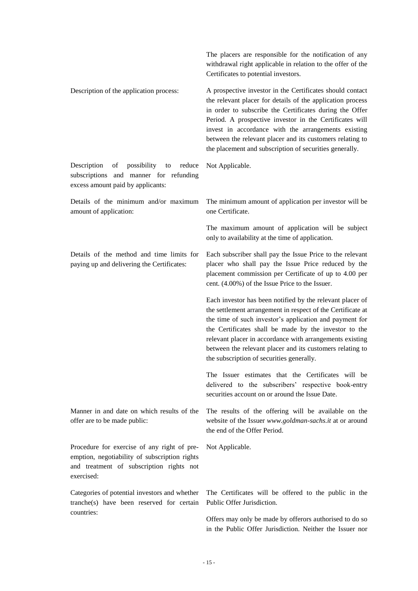|                                                                                                                                                        | The placers are responsible for the notification of any<br>withdrawal right applicable in relation to the offer of the<br>Certificates to potential investors.                                                                                                                                                                                                                                                               |
|--------------------------------------------------------------------------------------------------------------------------------------------------------|------------------------------------------------------------------------------------------------------------------------------------------------------------------------------------------------------------------------------------------------------------------------------------------------------------------------------------------------------------------------------------------------------------------------------|
| Description of the application process:                                                                                                                | A prospective investor in the Certificates should contact<br>the relevant placer for details of the application process<br>in order to subscribe the Certificates during the Offer<br>Period. A prospective investor in the Certificates will<br>invest in accordance with the arrangements existing<br>between the relevant placer and its customers relating to<br>the placement and subscription of securities generally. |
| Description<br>possibility<br>reduce<br>of<br>to<br>subscriptions and manner for refunding<br>excess amount paid by applicants:                        | Not Applicable.                                                                                                                                                                                                                                                                                                                                                                                                              |
| Details of the minimum and/or maximum<br>amount of application:                                                                                        | The minimum amount of application per investor will be<br>one Certificate.                                                                                                                                                                                                                                                                                                                                                   |
|                                                                                                                                                        | The maximum amount of application will be subject<br>only to availability at the time of application.                                                                                                                                                                                                                                                                                                                        |
| Details of the method and time limits for<br>paying up and delivering the Certificates:                                                                | Each subscriber shall pay the Issue Price to the relevant<br>placer who shall pay the Issue Price reduced by the<br>placement commission per Certificate of up to 4.00 per<br>cent. (4.00%) of the Issue Price to the Issuer.                                                                                                                                                                                                |
|                                                                                                                                                        | Each investor has been notified by the relevant placer of<br>the settlement arrangement in respect of the Certificate at<br>the time of such investor's application and payment for<br>the Certificates shall be made by the investor to the<br>relevant placer in accordance with arrangements existing<br>between the relevant placer and its customers relating to<br>the subscription of securities generally.           |
|                                                                                                                                                        | The Issuer estimates that the Certificates will be<br>delivered to the subscribers' respective book-entry<br>securities account on or around the Issue Date.                                                                                                                                                                                                                                                                 |
| Manner in and date on which results of the<br>offer are to be made public:                                                                             | The results of the offering will be available on the<br>website of the Issuer www.goldman-sachs.it at or around<br>the end of the Offer Period.                                                                                                                                                                                                                                                                              |
| Procedure for exercise of any right of pre-<br>emption, negotiability of subscription rights<br>and treatment of subscription rights not<br>exercised: | Not Applicable.                                                                                                                                                                                                                                                                                                                                                                                                              |
| Categories of potential investors and whether<br>tranche(s) have been reserved for certain                                                             | The Certificates will be offered to the public in the<br>Public Offer Jurisdiction.                                                                                                                                                                                                                                                                                                                                          |
| countries:                                                                                                                                             | Offers may only be made by offerors authorised to do so<br>in the Public Offer Jurisdiction. Neither the Issuer nor                                                                                                                                                                                                                                                                                                          |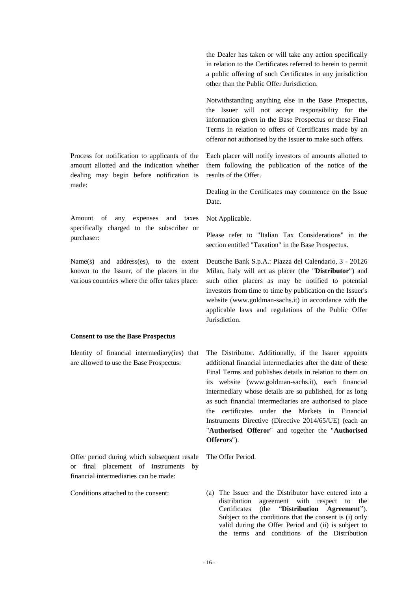the Dealer has taken or will take any action specifically in relation to the Certificates referred to herein to permit a public offering of such Certificates in any jurisdiction other than the Public Offer Jurisdiction.

Notwithstanding anything else in the Base Prospectus, the Issuer will not accept responsibility for the information given in the Base Prospectus or these Final Terms in relation to offers of Certificates made by an offeror not authorised by the Issuer to make such offers.

Process for notification to applicants of the amount allotted and the indication whether dealing may begin before notification is made:

Amount of any expenses and taxes specifically charged to the subscriber or purchaser:

Name(s) and address(es), to the extent known to the Issuer, of the placers in the various countries where the offer takes place:

#### **Consent to use the Base Prospectus**

Identity of financial intermediary(ies) that are allowed to use the Base Prospectus:

them following the publication of the notice of the results of the Offer.

Each placer will notify investors of amounts allotted to

Dealing in the Certificates may commence on the Issue Date.

Not Applicable.

Please refer to "Italian Tax Considerations" in the section entitled "Taxation" in the Base Prospectus.

Deutsche Bank S.p.A.: Piazza del Calendario, 3 - 20126 Milan, Italy will act as placer (the "**Distributor**") and such other placers as may be notified to potential investors from time to time by publication on the Issuer's website (www.goldman-sachs.it) in accordance with the applicable laws and regulations of the Public Offer Jurisdiction.

The Distributor. Additionally, if the Issuer appoints additional financial intermediaries after the date of these Final Terms and publishes details in relation to them on its website (www.goldman-sachs.it), each financial intermediary whose details are so published, for as long as such financial intermediaries are authorised to place the certificates under the Markets in Financial Instruments Directive (Directive 2014/65/UE) (each an "**Authorised Offeror**" and together the "**Authorised Offerors**").

Offer period during which subsequent resale or final placement of Instruments by financial intermediaries can be made:

The Offer Period.

Conditions attached to the consent: (a) The Issuer and the Distributor have entered into a distribution agreement with respect to the Certificates (the "**Distribution Agreement**"). Subject to the conditions that the consent is (i) only valid during the Offer Period and (ii) is subject to the terms and conditions of the Distribution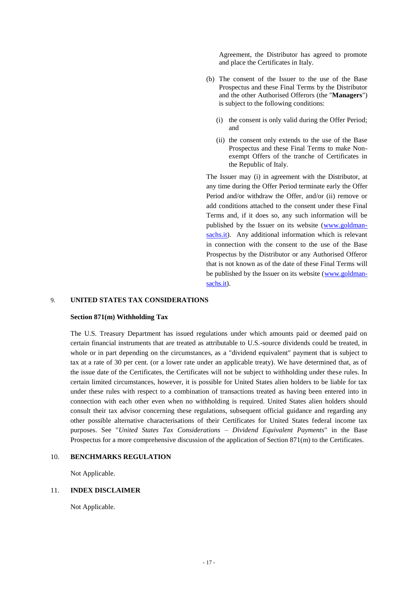Agreement, the Distributor has agreed to promote and place the Certificates in Italy.

- (b) The consent of the Issuer to the use of the Base Prospectus and these Final Terms by the Distributor and the other Authorised Offerors (the "**Managers**") is subject to the following conditions:
	- (i) the consent is only valid during the Offer Period; and
	- (ii) the consent only extends to the use of the Base Prospectus and these Final Terms to make Nonexempt Offers of the tranche of Certificates in the Republic of Italy.

The Issuer may (i) in agreement with the Distributor, at any time during the Offer Period terminate early the Offer Period and/or withdraw the Offer, and/or (ii) remove or add conditions attached to the consent under these Final Terms and, if it does so, any such information will be published by the Issuer on its website [\(www.goldman](http://www.goldman-sachs.it/)[sachs.it\)](http://www.goldman-sachs.it/). Any additional information which is relevant in connection with the consent to the use of the Base Prospectus by the Distributor or any Authorised Offeror that is not known as of the date of these Final Terms will be published by the Issuer on its website (www.goldmansachs.it).

#### 9. **UNITED STATES TAX CONSIDERATIONS**

#### **Section 871(m) Withholding Tax**

The U.S. Treasury Department has issued regulations under which amounts paid or deemed paid on certain financial instruments that are treated as attributable to U.S.-source dividends could be treated, in whole or in part depending on the circumstances, as a "dividend equivalent" payment that is subject to tax at a rate of 30 per cent. (or a lower rate under an applicable treaty). We have determined that, as of the issue date of the Certificates, the Certificates will not be subject to withholding under these rules. In certain limited circumstances, however, it is possible for United States alien holders to be liable for tax under these rules with respect to a combination of transactions treated as having been entered into in connection with each other even when no withholding is required. United States alien holders should consult their tax advisor concerning these regulations, subsequent official guidance and regarding any other possible alternative characterisations of their Certificates for United States federal income tax purposes. See "*United States Tax Considerations – Dividend Equivalent Payments*" in the Base Prospectus for a more comprehensive discussion of the application of Section 871(m) to the Certificates.

### 10. **BENCHMARKS REGULATION**

Not Applicable.

#### 11. **INDEX DISCLAIMER**

Not Applicable.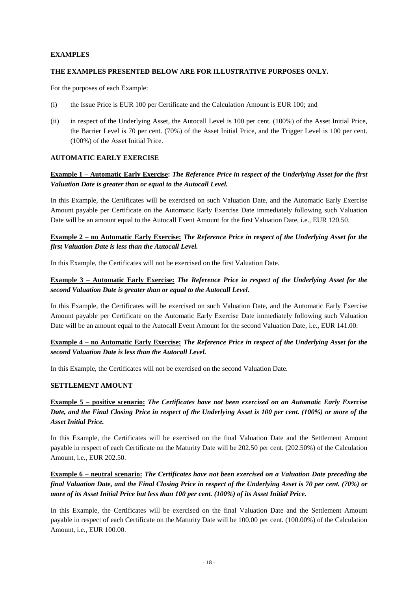## **EXAMPLES**

## **THE EXAMPLES PRESENTED BELOW ARE FOR ILLUSTRATIVE PURPOSES ONLY.**

For the purposes of each Example:

- (i) the Issue Price is EUR 100 per Certificate and the Calculation Amount is EUR 100; and
- (ii) in respect of the Underlying Asset, the Autocall Level is 100 per cent. (100%) of the Asset Initial Price, the Barrier Level is 70 per cent. (70%) of the Asset Initial Price, and the Trigger Level is 100 per cent. (100%) of the Asset Initial Price.

## **AUTOMATIC EARLY EXERCISE**

# **Example 1 – Automatic Early Exercise: The Reference Price in respect of the Underlying Asset for the first** *Valuation Date is greater than or equal to the Autocall Level.*

In this Example, the Certificates will be exercised on such Valuation Date, and the Automatic Early Exercise Amount payable per Certificate on the Automatic Early Exercise Date immediately following such Valuation Date will be an amount equal to the Autocall Event Amount for the first Valuation Date, i.e., EUR 120.50.

## **Example 2 – no Automatic Early Exercise:** *The Reference Price in respect of the Underlying Asset for the first Valuation Date is less than the Autocall Level.*

In this Example, the Certificates will not be exercised on the first Valuation Date.

# **Example 3 – Automatic Early Exercise:** *The Reference Price in respect of the Underlying Asset for the second Valuation Date is greater than or equal to the Autocall Level.*

In this Example, the Certificates will be exercised on such Valuation Date, and the Automatic Early Exercise Amount payable per Certificate on the Automatic Early Exercise Date immediately following such Valuation Date will be an amount equal to the Autocall Event Amount for the second Valuation Date, i.e., EUR 141.00.

## **Example 4 – no Automatic Early Exercise:** *The Reference Price in respect of the Underlying Asset for the second Valuation Date is less than the Autocall Level.*

In this Example, the Certificates will not be exercised on the second Valuation Date.

### **SETTLEMENT AMOUNT**

**Example 5 – positive scenario:** *The Certificates have not been exercised on an Automatic Early Exercise* Date, and the Final Closing Price in respect of the Underlying Asset is 100 per cent. (100%) or more of the *Asset Initial Price.*

In this Example, the Certificates will be exercised on the final Valuation Date and the Settlement Amount payable in respect of each Certificate on the Maturity Date will be 202.50 per cent. (202.50%) of the Calculation Amount, i.e., EUR 202.50.

**Example 6 – neutral scenario:** *The Certificates have not been exercised on a Valuation Date preceding the*  final Valuation Date, and the Final Closing Price in respect of the Underlying Asset is 70 per cent. (70%) or *more of its Asset Initial Price but less than 100 per cent. (100%) of its Asset Initial Price.*

In this Example, the Certificates will be exercised on the final Valuation Date and the Settlement Amount payable in respect of each Certificate on the Maturity Date will be 100.00 per cent. (100.00%) of the Calculation Amount, i.e., EUR 100.00.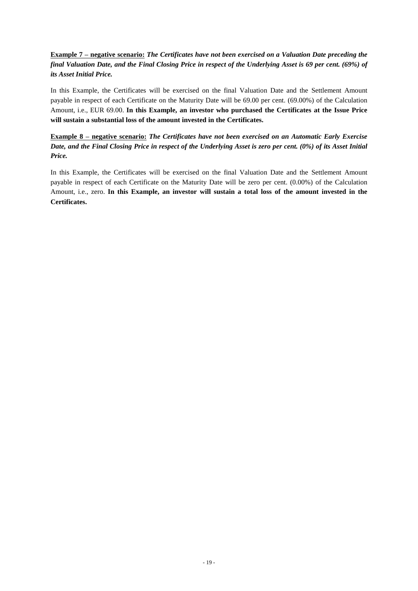# **Example 7 – negative scenario:** *The Certificates have not been exercised on a Valuation Date preceding the*  final Valuation Date, and the Final Closing Price in respect of the Underlying Asset is 69 per cent. (69%) of *its Asset Initial Price.*

In this Example, the Certificates will be exercised on the final Valuation Date and the Settlement Amount payable in respect of each Certificate on the Maturity Date will be 69.00 per cent. (69.00%) of the Calculation Amount, i.e., EUR 69.00. **In this Example, an investor who purchased the Certificates at the Issue Price will sustain a substantial loss of the amount invested in the Certificates.**

**Example 8 – negative scenario:** *The Certificates have not been exercised on an Automatic Early Exercise* Date, and the Final Closing Price in respect of the Underlying Asset is zero per cent. (0%) of its Asset Initial *Price.*

In this Example, the Certificates will be exercised on the final Valuation Date and the Settlement Amount payable in respect of each Certificate on the Maturity Date will be zero per cent. (0.00%) of the Calculation Amount, i.e., zero. **In this Example, an investor will sustain a total loss of the amount invested in the Certificates.**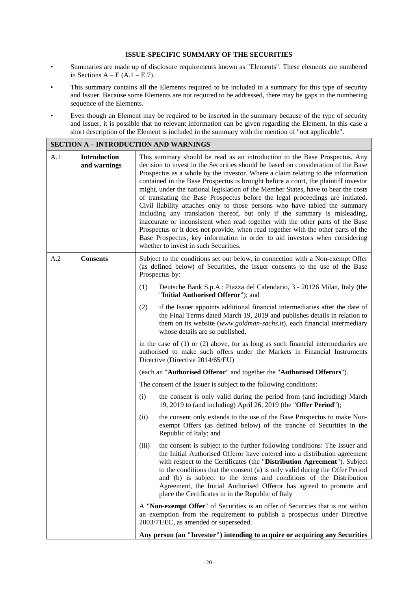## **ISSUE-SPECIFIC SUMMARY OF THE SECURITIES**

- Summaries are made up of disclosure requirements known as "Elements". These elements are numbered in Sections  $A - E(A.1 - E.7)$ .
- This summary contains all the Elements required to be included in a summary for this type of security and Issuer. Because some Elements are not required to be addressed, there may be gaps in the numbering sequence of the Elements.
- Even though an Element may be required to be inserted in the summary because of the type of security and Issuer, it is possible that no relevant information can be given regarding the Element. In this case a short description of the Element is included in the summary with the mention of "not applicable".

|                                        |                                                                                                                                                                                                       | <b>SECTION A - INTRODUCTION AND WARNINGS</b>                                                                                                                                                                                                                                                                                                                                                                                                                                                                                                                                                                                                                                                                                                                                                                                                                                                                                                                                |  |  |  |  |
|----------------------------------------|-------------------------------------------------------------------------------------------------------------------------------------------------------------------------------------------------------|-----------------------------------------------------------------------------------------------------------------------------------------------------------------------------------------------------------------------------------------------------------------------------------------------------------------------------------------------------------------------------------------------------------------------------------------------------------------------------------------------------------------------------------------------------------------------------------------------------------------------------------------------------------------------------------------------------------------------------------------------------------------------------------------------------------------------------------------------------------------------------------------------------------------------------------------------------------------------------|--|--|--|--|
| A.1                                    | <b>Introduction</b><br>and warnings                                                                                                                                                                   | This summary should be read as an introduction to the Base Prospectus. Any<br>decision to invest in the Securities should be based on consideration of the Base<br>Prospectus as a whole by the investor. Where a claim relating to the information<br>contained in the Base Prospectus is brought before a court, the plaintiff investor<br>might, under the national legislation of the Member States, have to bear the costs<br>of translating the Base Prospectus before the legal proceedings are initiated.<br>Civil liability attaches only to those persons who have tabled the summary<br>including any translation thereof, but only if the summary is misleading,<br>inaccurate or inconsistent when read together with the other parts of the Base<br>Prospectus or it does not provide, when read together with the other parts of the<br>Base Prospectus, key information in order to aid investors when considering<br>whether to invest in such Securities. |  |  |  |  |
| A.2                                    | <b>Consents</b>                                                                                                                                                                                       | Subject to the conditions set out below, in connection with a Non-exempt Offer<br>(as defined below) of Securities, the Issuer consents to the use of the Base<br>Prospectus by:                                                                                                                                                                                                                                                                                                                                                                                                                                                                                                                                                                                                                                                                                                                                                                                            |  |  |  |  |
|                                        |                                                                                                                                                                                                       | Deutsche Bank S.p.A.: Piazza del Calendario, 3 - 20126 Milan, Italy (the<br>(1)<br>"Initial Authorised Offeror"); and                                                                                                                                                                                                                                                                                                                                                                                                                                                                                                                                                                                                                                                                                                                                                                                                                                                       |  |  |  |  |
| (2)<br>whose details are so published, |                                                                                                                                                                                                       | if the Issuer appoints additional financial intermediaries after the date of<br>the Final Terms dated March 19, 2019 and publishes details in relation to<br>them on its website (www.goldman-sachs.it), each financial intermediary                                                                                                                                                                                                                                                                                                                                                                                                                                                                                                                                                                                                                                                                                                                                        |  |  |  |  |
|                                        |                                                                                                                                                                                                       | in the case of $(1)$ or $(2)$ above, for as long as such financial intermediaries are<br>authorised to make such offers under the Markets in Financial Instruments<br>Directive (Directive 2014/65/EU)                                                                                                                                                                                                                                                                                                                                                                                                                                                                                                                                                                                                                                                                                                                                                                      |  |  |  |  |
|                                        |                                                                                                                                                                                                       | (each an "Authorised Offeror" and together the "Authorised Offerors").                                                                                                                                                                                                                                                                                                                                                                                                                                                                                                                                                                                                                                                                                                                                                                                                                                                                                                      |  |  |  |  |
|                                        |                                                                                                                                                                                                       | The consent of the Issuer is subject to the following conditions:                                                                                                                                                                                                                                                                                                                                                                                                                                                                                                                                                                                                                                                                                                                                                                                                                                                                                                           |  |  |  |  |
|                                        |                                                                                                                                                                                                       | the consent is only valid during the period from (and including) March<br>(i)<br>19, 2019 to (and including) April 26, 2019 (the "Offer Period");                                                                                                                                                                                                                                                                                                                                                                                                                                                                                                                                                                                                                                                                                                                                                                                                                           |  |  |  |  |
|                                        |                                                                                                                                                                                                       | (ii)<br>the consent only extends to the use of the Base Prospectus to make Non-<br>exempt Offers (as defined below) of the tranche of Securities in the<br>Republic of Italy; and                                                                                                                                                                                                                                                                                                                                                                                                                                                                                                                                                                                                                                                                                                                                                                                           |  |  |  |  |
|                                        |                                                                                                                                                                                                       | the consent is subject to the further following conditions: The Issuer and<br>(iii)<br>the Initial Authorised Offeror have entered into a distribution agreement<br>with respect to the Certificates (the "Distribution Agreement"). Subject<br>to the conditions that the consent (a) is only valid during the Offer Period<br>and (b) is subject to the terms and conditions of the Distribution<br>Agreement, the Initial Authorised Offeror has agreed to promote and<br>place the Certificates in in the Republic of Italy                                                                                                                                                                                                                                                                                                                                                                                                                                             |  |  |  |  |
|                                        | A "Non-exempt Offer" of Securities is an offer of Securities that is not within<br>an exemption from the requirement to publish a prospectus under Directive<br>2003/71/EC, as amended or superseded. |                                                                                                                                                                                                                                                                                                                                                                                                                                                                                                                                                                                                                                                                                                                                                                                                                                                                                                                                                                             |  |  |  |  |
|                                        |                                                                                                                                                                                                       | Any person (an "Investor") intending to acquire or acquiring any Securities                                                                                                                                                                                                                                                                                                                                                                                                                                                                                                                                                                                                                                                                                                                                                                                                                                                                                                 |  |  |  |  |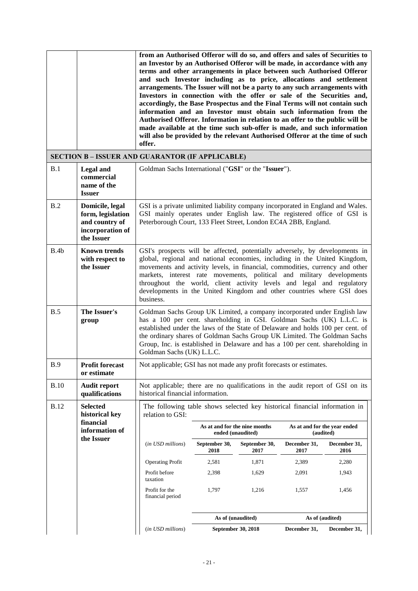|                                                                                                 | from an Authorised Offeror will do so, and offers and sales of Securities to<br>an Investor by an Authorised Offeror will be made, in accordance with any<br>terms and other arrangements in place between such Authorised Offeror<br>and such Investor including as to price, allocations and settlement<br>arrangements. The Issuer will not be a party to any such arrangements with<br>Investors in connection with the offer or sale of the Securities and,<br>accordingly, the Base Prospectus and the Final Terms will not contain such<br>information and an Investor must obtain such information from the<br>Authorised Offeror. Information in relation to an offer to the public will be<br>made available at the time such sub-offer is made, and such information<br>will also be provided by the relevant Authorised Offeror at the time of such<br>offer. |                                                                                                                                                                                                                              |                       |                      |                                           |  |  |
|-------------------------------------------------------------------------------------------------|---------------------------------------------------------------------------------------------------------------------------------------------------------------------------------------------------------------------------------------------------------------------------------------------------------------------------------------------------------------------------------------------------------------------------------------------------------------------------------------------------------------------------------------------------------------------------------------------------------------------------------------------------------------------------------------------------------------------------------------------------------------------------------------------------------------------------------------------------------------------------|------------------------------------------------------------------------------------------------------------------------------------------------------------------------------------------------------------------------------|-----------------------|----------------------|-------------------------------------------|--|--|
| <b>SECTION B - ISSUER AND GUARANTOR (IF APPLICABLE)</b>                                         |                                                                                                                                                                                                                                                                                                                                                                                                                                                                                                                                                                                                                                                                                                                                                                                                                                                                           |                                                                                                                                                                                                                              |                       |                      |                                           |  |  |
| B.1<br><b>Legal</b> and<br>commercial<br>name of the<br><b>Issuer</b>                           |                                                                                                                                                                                                                                                                                                                                                                                                                                                                                                                                                                                                                                                                                                                                                                                                                                                                           | Goldman Sachs International ("GSI" or the "Issuer").                                                                                                                                                                         |                       |                      |                                           |  |  |
| B.2<br>Domicile, legal<br>form, legislation<br>and country of<br>incorporation of<br>the Issuer |                                                                                                                                                                                                                                                                                                                                                                                                                                                                                                                                                                                                                                                                                                                                                                                                                                                                           | GSI is a private unlimited liability company incorporated in England and Wales.<br>GSI mainly operates under English law. The registered office of GSI is<br>Peterborough Court, 133 Fleet Street, London EC4A 2BB, England. |                       |                      |                                           |  |  |
| B.4b<br><b>Known trends</b><br>with respect to<br>the Issuer                                    | GSI's prospects will be affected, potentially adversely, by developments in<br>global, regional and national economies, including in the United Kingdom,<br>movements and activity levels, in financial, commodities, currency and other<br>markets, interest rate movements, political and military developments<br>throughout the world, client activity levels and legal and regulatory<br>developments in the United Kingdom and other countries where GSI does<br>business.                                                                                                                                                                                                                                                                                                                                                                                          |                                                                                                                                                                                                                              |                       |                      |                                           |  |  |
| B.5<br>The Issuer's<br>group                                                                    | Goldman Sachs Group UK Limited, a company incorporated under English law<br>has a 100 per cent. shareholding in GSI. Goldman Sachs (UK) L.L.C. is<br>established under the laws of the State of Delaware and holds 100 per cent. of<br>the ordinary shares of Goldman Sachs Group UK Limited. The Goldman Sachs<br>Group, Inc. is established in Delaware and has a 100 per cent. shareholding in<br>Goldman Sachs (UK) L.L.C.                                                                                                                                                                                                                                                                                                                                                                                                                                            |                                                                                                                                                                                                                              |                       |                      |                                           |  |  |
| B.9<br><b>Profit forecast</b><br>or estimate                                                    | Not applicable; GSI has not made any profit forecasts or estimates.                                                                                                                                                                                                                                                                                                                                                                                                                                                                                                                                                                                                                                                                                                                                                                                                       |                                                                                                                                                                                                                              |                       |                      |                                           |  |  |
| <b>B.10</b><br><b>Audit report</b><br>qualifications                                            | Not applicable; there are no qualifications in the audit report of GSI on its<br>historical financial information.                                                                                                                                                                                                                                                                                                                                                                                                                                                                                                                                                                                                                                                                                                                                                        |                                                                                                                                                                                                                              |                       |                      |                                           |  |  |
| <b>B.12</b><br><b>Selected</b><br>historical key                                                | The following table shows selected key historical financial information in<br>relation to GSI:                                                                                                                                                                                                                                                                                                                                                                                                                                                                                                                                                                                                                                                                                                                                                                            |                                                                                                                                                                                                                              |                       |                      |                                           |  |  |
| financial<br>information of                                                                     | As at and for the nine months<br>ended (unaudited)                                                                                                                                                                                                                                                                                                                                                                                                                                                                                                                                                                                                                                                                                                                                                                                                                        |                                                                                                                                                                                                                              |                       |                      | As at and for the year ended<br>(audited) |  |  |
| the Issuer                                                                                      | (in USD millions)                                                                                                                                                                                                                                                                                                                                                                                                                                                                                                                                                                                                                                                                                                                                                                                                                                                         | September 30,<br>2018                                                                                                                                                                                                        | September 30,<br>2017 | December 31,<br>2017 | December 31,<br>2016                      |  |  |
|                                                                                                 | <b>Operating Profit</b>                                                                                                                                                                                                                                                                                                                                                                                                                                                                                                                                                                                                                                                                                                                                                                                                                                                   | 2,581                                                                                                                                                                                                                        | 1,871                 | 2,389                | 2,280                                     |  |  |
|                                                                                                 | Profit before<br>taxation                                                                                                                                                                                                                                                                                                                                                                                                                                                                                                                                                                                                                                                                                                                                                                                                                                                 | 2,398                                                                                                                                                                                                                        | 1,629                 | 2,091                | 1,943                                     |  |  |
|                                                                                                 | Profit for the<br>financial period                                                                                                                                                                                                                                                                                                                                                                                                                                                                                                                                                                                                                                                                                                                                                                                                                                        | 1,797                                                                                                                                                                                                                        | 1,216                 | 1,557                | 1,456                                     |  |  |
|                                                                                                 |                                                                                                                                                                                                                                                                                                                                                                                                                                                                                                                                                                                                                                                                                                                                                                                                                                                                           |                                                                                                                                                                                                                              | As of (unaudited)     |                      | As of (audited)                           |  |  |
|                                                                                                 | (in USD millions)                                                                                                                                                                                                                                                                                                                                                                                                                                                                                                                                                                                                                                                                                                                                                                                                                                                         |                                                                                                                                                                                                                              | September 30, 2018    | December 31,         | December 31,                              |  |  |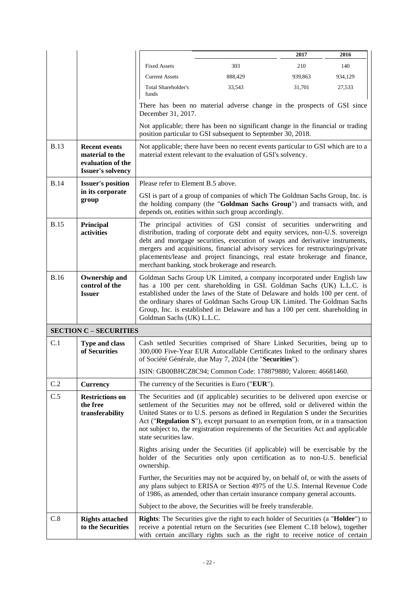|             |                                                                                          |                                                                                                                                                                                                                                                                                                                                                                                                                                                                 |                                                                                                                                                                                                                                                                                                                                                                                                                              | 2017    | 2016    |  |  |
|-------------|------------------------------------------------------------------------------------------|-----------------------------------------------------------------------------------------------------------------------------------------------------------------------------------------------------------------------------------------------------------------------------------------------------------------------------------------------------------------------------------------------------------------------------------------------------------------|------------------------------------------------------------------------------------------------------------------------------------------------------------------------------------------------------------------------------------------------------------------------------------------------------------------------------------------------------------------------------------------------------------------------------|---------|---------|--|--|
|             |                                                                                          | <b>Fixed Assets</b>                                                                                                                                                                                                                                                                                                                                                                                                                                             | 303                                                                                                                                                                                                                                                                                                                                                                                                                          | 210     | 140     |  |  |
|             |                                                                                          | <b>Current Assets</b>                                                                                                                                                                                                                                                                                                                                                                                                                                           | 888,429                                                                                                                                                                                                                                                                                                                                                                                                                      | 939,863 | 934,129 |  |  |
|             |                                                                                          | Total Shareholder's<br>funds                                                                                                                                                                                                                                                                                                                                                                                                                                    | 33,543                                                                                                                                                                                                                                                                                                                                                                                                                       | 31,701  | 27,533  |  |  |
|             |                                                                                          | December 31, 2017.                                                                                                                                                                                                                                                                                                                                                                                                                                              | There has been no material adverse change in the prospects of GSI since                                                                                                                                                                                                                                                                                                                                                      |         |         |  |  |
|             |                                                                                          |                                                                                                                                                                                                                                                                                                                                                                                                                                                                 | Not applicable; there has been no significant change in the financial or trading<br>position particular to GSI subsequent to September 30, 2018.                                                                                                                                                                                                                                                                             |         |         |  |  |
| <b>B.13</b> | <b>Recent events</b><br>material to the<br>evaluation of the<br><b>Issuer's solvency</b> |                                                                                                                                                                                                                                                                                                                                                                                                                                                                 | Not applicable; there have been no recent events particular to GSI which are to a<br>material extent relevant to the evaluation of GSI's solvency.                                                                                                                                                                                                                                                                           |         |         |  |  |
| <b>B.14</b> | <b>Issuer's position</b>                                                                 | Please refer to Element B.5 above.                                                                                                                                                                                                                                                                                                                                                                                                                              |                                                                                                                                                                                                                                                                                                                                                                                                                              |         |         |  |  |
|             | in its corporate<br>group                                                                |                                                                                                                                                                                                                                                                                                                                                                                                                                                                 | GSI is part of a group of companies of which The Goldman Sachs Group, Inc. is<br>the holding company (the "Goldman Sachs Group") and transacts with, and<br>depends on, entities within such group accordingly.                                                                                                                                                                                                              |         |         |  |  |
| <b>B.15</b> | Principal<br>activities                                                                  | The principal activities of GSI consist of securities underwriting and<br>distribution, trading of corporate debt and equity services, non-U.S. sovereign<br>debt and mortgage securities, execution of swaps and derivative instruments,<br>mergers and acquisitions, financial advisory services for restructurings/private<br>placements/lease and project financings, real estate brokerage and finance,<br>merchant banking, stock brokerage and research. |                                                                                                                                                                                                                                                                                                                                                                                                                              |         |         |  |  |
| <b>B.16</b> | <b>Ownership and</b><br>control of the<br><b>Issuer</b>                                  | Goldman Sachs Group UK Limited, a company incorporated under English law<br>has a 100 per cent. shareholding in GSI. Goldman Sachs (UK) L.L.C. is<br>established under the laws of the State of Delaware and holds 100 per cent. of<br>the ordinary shares of Goldman Sachs Group UK Limited. The Goldman Sachs<br>Group, Inc. is established in Delaware and has a 100 per cent. shareholding in<br>Goldman Sachs (UK) L.L.C.                                  |                                                                                                                                                                                                                                                                                                                                                                                                                              |         |         |  |  |
|             | <b>SECTION C - SECURITIES</b>                                                            |                                                                                                                                                                                                                                                                                                                                                                                                                                                                 |                                                                                                                                                                                                                                                                                                                                                                                                                              |         |         |  |  |
| C.1         | <b>Type and class</b><br>of Securities                                                   |                                                                                                                                                                                                                                                                                                                                                                                                                                                                 | Cash settled Securities comprised of Share Linked Securities, being up to<br>300,000 Five-Year EUR Autocallable Certificates linked to the ordinary shares<br>of Société Générale, due May 7, 2024 (the "Securities").                                                                                                                                                                                                       |         |         |  |  |
|             |                                                                                          |                                                                                                                                                                                                                                                                                                                                                                                                                                                                 | ISIN: GB00BHCZ8C94; Common Code: 178879880; Valoren: 46681460.                                                                                                                                                                                                                                                                                                                                                               |         |         |  |  |
| C.2         | <b>Currency</b>                                                                          |                                                                                                                                                                                                                                                                                                                                                                                                                                                                 | The currency of the Securities is Euro ("EUR").                                                                                                                                                                                                                                                                                                                                                                              |         |         |  |  |
| C.5         | <b>Restrictions on</b><br>the free<br>transferability                                    | state securities law.                                                                                                                                                                                                                                                                                                                                                                                                                                           | The Securities and (if applicable) securities to be delivered upon exercise or<br>settlement of the Securities may not be offered, sold or delivered within the<br>United States or to U.S. persons as defined in Regulation S under the Securities<br>Act ("Regulation S"), except pursuant to an exemption from, or in a transaction<br>not subject to, the registration requirements of the Securities Act and applicable |         |         |  |  |
|             |                                                                                          | ownership.                                                                                                                                                                                                                                                                                                                                                                                                                                                      | Rights arising under the Securities (if applicable) will be exercisable by the<br>holder of the Securities only upon certification as to non-U.S. beneficial                                                                                                                                                                                                                                                                 |         |         |  |  |
|             |                                                                                          |                                                                                                                                                                                                                                                                                                                                                                                                                                                                 | Further, the Securities may not be acquired by, on behalf of, or with the assets of<br>any plans subject to ERISA or Section 4975 of the U.S. Internal Revenue Code<br>of 1986, as amended, other than certain insurance company general accounts.                                                                                                                                                                           |         |         |  |  |
|             |                                                                                          |                                                                                                                                                                                                                                                                                                                                                                                                                                                                 | Subject to the above, the Securities will be freely transferable.                                                                                                                                                                                                                                                                                                                                                            |         |         |  |  |
| C.8         | <b>Rights attached</b><br>to the Securities                                              |                                                                                                                                                                                                                                                                                                                                                                                                                                                                 | Rights: The Securities give the right to each holder of Securities (a "Holder") to<br>receive a potential return on the Securities (see Element C.18 below), together<br>with certain ancillary rights such as the right to receive notice of certain                                                                                                                                                                        |         |         |  |  |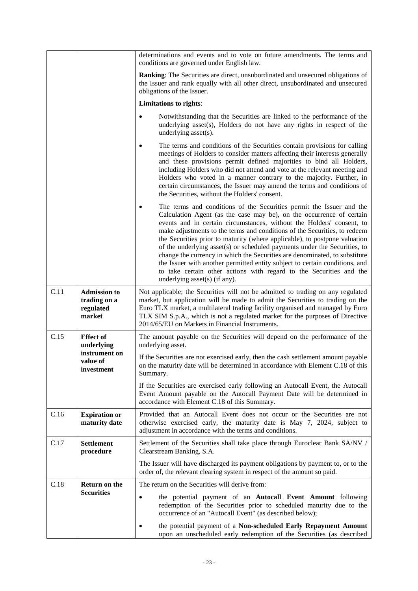|      |                                                            | determinations and events and to vote on future amendments. The terms and<br>conditions are governed under English law.                                                                                                                                                                                                                                                                                                                                                                                                                                                                                                                                                                                                            |  |  |  |  |
|------|------------------------------------------------------------|------------------------------------------------------------------------------------------------------------------------------------------------------------------------------------------------------------------------------------------------------------------------------------------------------------------------------------------------------------------------------------------------------------------------------------------------------------------------------------------------------------------------------------------------------------------------------------------------------------------------------------------------------------------------------------------------------------------------------------|--|--|--|--|
|      |                                                            | <b>Ranking:</b> The Securities are direct, unsubordinated and unsecured obligations of<br>the Issuer and rank equally with all other direct, unsubordinated and unsecured<br>obligations of the Issuer.                                                                                                                                                                                                                                                                                                                                                                                                                                                                                                                            |  |  |  |  |
|      |                                                            | Limitations to rights:                                                                                                                                                                                                                                                                                                                                                                                                                                                                                                                                                                                                                                                                                                             |  |  |  |  |
|      |                                                            | Notwithstanding that the Securities are linked to the performance of the<br>underlying asset(s), Holders do not have any rights in respect of the<br>underlying asset(s).                                                                                                                                                                                                                                                                                                                                                                                                                                                                                                                                                          |  |  |  |  |
|      |                                                            | The terms and conditions of the Securities contain provisions for calling<br>meetings of Holders to consider matters affecting their interests generally<br>and these provisions permit defined majorities to bind all Holders,<br>including Holders who did not attend and vote at the relevant meeting and<br>Holders who voted in a manner contrary to the majority. Further, in<br>certain circumstances, the Issuer may amend the terms and conditions of<br>the Securities, without the Holders' consent.                                                                                                                                                                                                                    |  |  |  |  |
|      |                                                            | The terms and conditions of the Securities permit the Issuer and the<br>Calculation Agent (as the case may be), on the occurrence of certain<br>events and in certain circumstances, without the Holders' consent, to<br>make adjustments to the terms and conditions of the Securities, to redeem<br>the Securities prior to maturity (where applicable), to postpone valuation<br>of the underlying asset(s) or scheduled payments under the Securities, to<br>change the currency in which the Securities are denominated, to substitute<br>the Issuer with another permitted entity subject to certain conditions, and<br>to take certain other actions with regard to the Securities and the<br>underlying asset(s) (if any). |  |  |  |  |
| C.11 | <b>Admission</b> to<br>trading on a<br>regulated<br>market | Not applicable; the Securities will not be admitted to trading on any regulated<br>market, but application will be made to admit the Securities to trading on the<br>Euro TLX market, a multilateral trading facility organised and managed by Euro<br>TLX SIM S.p.A., which is not a regulated market for the purposes of Directive<br>2014/65/EU on Markets in Financial Instruments.                                                                                                                                                                                                                                                                                                                                            |  |  |  |  |
| C.15 | <b>Effect</b> of<br>underlying                             | The amount payable on the Securities will depend on the performance of the<br>underlying asset.                                                                                                                                                                                                                                                                                                                                                                                                                                                                                                                                                                                                                                    |  |  |  |  |
|      | instrument on<br>value of<br>investment                    | If the Securities are not exercised early, then the cash settlement amount payable<br>on the maturity date will be determined in accordance with Element C.18 of this<br>Summary.                                                                                                                                                                                                                                                                                                                                                                                                                                                                                                                                                  |  |  |  |  |
|      |                                                            | If the Securities are exercised early following an Autocall Event, the Autocall<br>Event Amount payable on the Autocall Payment Date will be determined in<br>accordance with Element C.18 of this Summary.                                                                                                                                                                                                                                                                                                                                                                                                                                                                                                                        |  |  |  |  |
| C.16 | <b>Expiration or</b><br>maturity date                      | Provided that an Autocall Event does not occur or the Securities are not<br>otherwise exercised early, the maturity date is May 7, 2024, subject to<br>adjustment in accordance with the terms and conditions.                                                                                                                                                                                                                                                                                                                                                                                                                                                                                                                     |  |  |  |  |
| C.17 | <b>Settlement</b><br>procedure                             | Settlement of the Securities shall take place through Euroclear Bank SA/NV /<br>Clearstream Banking, S.A.                                                                                                                                                                                                                                                                                                                                                                                                                                                                                                                                                                                                                          |  |  |  |  |
|      |                                                            | The Issuer will have discharged its payment obligations by payment to, or to the<br>order of, the relevant clearing system in respect of the amount so paid.                                                                                                                                                                                                                                                                                                                                                                                                                                                                                                                                                                       |  |  |  |  |
| C.18 | <b>Return on the</b>                                       | The return on the Securities will derive from:                                                                                                                                                                                                                                                                                                                                                                                                                                                                                                                                                                                                                                                                                     |  |  |  |  |
|      | <b>Securities</b>                                          | the potential payment of an Autocall Event Amount following<br>$\bullet$<br>redemption of the Securities prior to scheduled maturity due to the<br>occurrence of an "Autocall Event" (as described below);                                                                                                                                                                                                                                                                                                                                                                                                                                                                                                                         |  |  |  |  |
|      |                                                            | the potential payment of a Non-scheduled Early Repayment Amount<br>upon an unscheduled early redemption of the Securities (as described                                                                                                                                                                                                                                                                                                                                                                                                                                                                                                                                                                                            |  |  |  |  |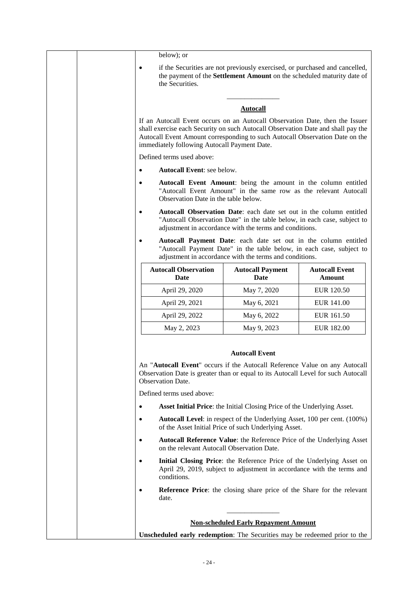| below); or                                                                                                                                                                                                                                                                                       |                                                                                                                                                                                                                   |                                        |  |  |
|--------------------------------------------------------------------------------------------------------------------------------------------------------------------------------------------------------------------------------------------------------------------------------------------------|-------------------------------------------------------------------------------------------------------------------------------------------------------------------------------------------------------------------|----------------------------------------|--|--|
| if the Securities are not previously exercised, or purchased and cancelled,<br>$\bullet$<br>the payment of the Settlement Amount on the scheduled maturity date of<br>the Securities.                                                                                                            |                                                                                                                                                                                                                   |                                        |  |  |
|                                                                                                                                                                                                                                                                                                  | <b>Autocall</b>                                                                                                                                                                                                   |                                        |  |  |
| If an Autocall Event occurs on an Autocall Observation Date, then the Issuer<br>shall exercise each Security on such Autocall Observation Date and shall pay the<br>Autocall Event Amount corresponding to such Autocall Observation Date on the<br>immediately following Autocall Payment Date. |                                                                                                                                                                                                                   |                                        |  |  |
| Defined terms used above:                                                                                                                                                                                                                                                                        |                                                                                                                                                                                                                   |                                        |  |  |
| Autocall Event: see below.<br>$\bullet$                                                                                                                                                                                                                                                          |                                                                                                                                                                                                                   |                                        |  |  |
| $\bullet$<br>Observation Date in the table below.                                                                                                                                                                                                                                                | Autocall Event Amount: being the amount in the column entitled<br>"Autocall Event Amount" in the same row as the relevant Autocall                                                                                |                                        |  |  |
| $\bullet$                                                                                                                                                                                                                                                                                        | <b>Autocall Observation Date:</b> each date set out in the column entitled<br>"Autocall Observation Date" in the table below, in each case, subject to<br>adjustment in accordance with the terms and conditions. |                                        |  |  |
| $\bullet$                                                                                                                                                                                                                                                                                        | Autocall Payment Date: each date set out in the column entitled<br>"Autocall Payment Date" in the table below, in each case, subject to<br>adjustment in accordance with the terms and conditions.                |                                        |  |  |
| <b>Autocall Observation</b><br>Date                                                                                                                                                                                                                                                              | <b>Autocall Payment</b><br>Date                                                                                                                                                                                   | <b>Autocall Event</b><br><b>Amount</b> |  |  |
| April 29, 2020                                                                                                                                                                                                                                                                                   | May 7, 2020                                                                                                                                                                                                       | EUR 120.50                             |  |  |
| April 29, 2021                                                                                                                                                                                                                                                                                   | May 6, 2021                                                                                                                                                                                                       | EUR 141.00                             |  |  |
| April 29, 2022                                                                                                                                                                                                                                                                                   | May 6, 2022                                                                                                                                                                                                       | EUR 161.50                             |  |  |
| May 2, 2023                                                                                                                                                                                                                                                                                      | May 9, 2023                                                                                                                                                                                                       | <b>EUR 182.00</b>                      |  |  |
| An " <b>Autocall Event</b> " occurs if the Autocall Reference Value on any Autocall<br>Observation Date is greater than or equal to its Autocall Level for such Autocall<br><b>Observation Date.</b>                                                                                             | <b>Autocall Event</b>                                                                                                                                                                                             |                                        |  |  |
| Defined terms used above:                                                                                                                                                                                                                                                                        |                                                                                                                                                                                                                   |                                        |  |  |
| $\bullet$                                                                                                                                                                                                                                                                                        | Asset Initial Price: the Initial Closing Price of the Underlying Asset.                                                                                                                                           |                                        |  |  |
| ٠                                                                                                                                                                                                                                                                                                | Autocall Level: in respect of the Underlying Asset, 100 per cent. (100%)<br>of the Asset Initial Price of such Underlying Asset.                                                                                  |                                        |  |  |
| ٠<br>on the relevant Autocall Observation Date.                                                                                                                                                                                                                                                  | Autocall Reference Value: the Reference Price of the Underlying Asset                                                                                                                                             |                                        |  |  |
| ٠<br>conditions.                                                                                                                                                                                                                                                                                 | Initial Closing Price: the Reference Price of the Underlying Asset on<br>April 29, 2019, subject to adjustment in accordance with the terms and                                                                   |                                        |  |  |
| $\bullet$<br>date.                                                                                                                                                                                                                                                                               | Reference Price: the closing share price of the Share for the relevant                                                                                                                                            |                                        |  |  |
|                                                                                                                                                                                                                                                                                                  | <b>Non-scheduled Early Repayment Amount</b>                                                                                                                                                                       |                                        |  |  |
| Unscheduled early redemption: The Securities may be redeemed prior to the                                                                                                                                                                                                                        |                                                                                                                                                                                                                   |                                        |  |  |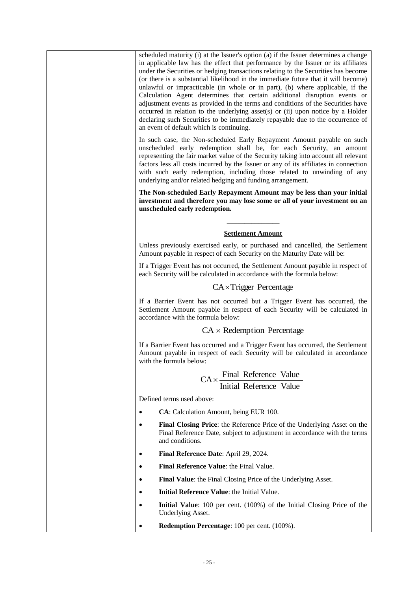|  | scheduled maturity (i) at the Issuer's option (a) if the Issuer determines a change<br>in applicable law has the effect that performance by the Issuer or its affiliates<br>under the Securities or hedging transactions relating to the Securities has become<br>(or there is a substantial likelihood in the immediate future that it will become)<br>unlawful or impracticable (in whole or in part), (b) where applicable, if the<br>Calculation Agent determines that certain additional disruption events or<br>adjustment events as provided in the terms and conditions of the Securities have<br>occurred in relation to the underlying asset(s) or (ii) upon notice by a Holder<br>declaring such Securities to be immediately repayable due to the occurrence of<br>an event of default which is continuing. |
|--|-------------------------------------------------------------------------------------------------------------------------------------------------------------------------------------------------------------------------------------------------------------------------------------------------------------------------------------------------------------------------------------------------------------------------------------------------------------------------------------------------------------------------------------------------------------------------------------------------------------------------------------------------------------------------------------------------------------------------------------------------------------------------------------------------------------------------|
|  | In such case, the Non-scheduled Early Repayment Amount payable on such<br>unscheduled early redemption shall be, for each Security, an amount<br>representing the fair market value of the Security taking into account all relevant<br>factors less all costs incurred by the Issuer or any of its affiliates in connection<br>with such early redemption, including those related to unwinding of any<br>underlying and/or related hedging and funding arrangement.                                                                                                                                                                                                                                                                                                                                                   |
|  | The Non-scheduled Early Repayment Amount may be less than your initial<br>investment and therefore you may lose some or all of your investment on an<br>unscheduled early redemption.                                                                                                                                                                                                                                                                                                                                                                                                                                                                                                                                                                                                                                   |
|  |                                                                                                                                                                                                                                                                                                                                                                                                                                                                                                                                                                                                                                                                                                                                                                                                                         |
|  | <b>Settlement Amount</b>                                                                                                                                                                                                                                                                                                                                                                                                                                                                                                                                                                                                                                                                                                                                                                                                |
|  | Unless previously exercised early, or purchased and cancelled, the Settlement<br>Amount payable in respect of each Security on the Maturity Date will be:                                                                                                                                                                                                                                                                                                                                                                                                                                                                                                                                                                                                                                                               |
|  | If a Trigger Event has not occurred, the Settlement Amount payable in respect of<br>each Security will be calculated in accordance with the formula below:                                                                                                                                                                                                                                                                                                                                                                                                                                                                                                                                                                                                                                                              |
|  | $CA \times Trigger$ Percentage                                                                                                                                                                                                                                                                                                                                                                                                                                                                                                                                                                                                                                                                                                                                                                                          |
|  | If a Barrier Event has not occurred but a Trigger Event has occurred, the<br>Settlement Amount payable in respect of each Security will be calculated in<br>accordance with the formula below:                                                                                                                                                                                                                                                                                                                                                                                                                                                                                                                                                                                                                          |
|  | $CA \times Redemption Percentage$                                                                                                                                                                                                                                                                                                                                                                                                                                                                                                                                                                                                                                                                                                                                                                                       |
|  | If a Barrier Event has occurred and a Trigger Event has occurred, the Settlement<br>Amount payable in respect of each Security will be calculated in accordance<br>with the formula below:                                                                                                                                                                                                                                                                                                                                                                                                                                                                                                                                                                                                                              |
|  | Final Reference Value<br>CAx                                                                                                                                                                                                                                                                                                                                                                                                                                                                                                                                                                                                                                                                                                                                                                                            |
|  | Initial Reference Value                                                                                                                                                                                                                                                                                                                                                                                                                                                                                                                                                                                                                                                                                                                                                                                                 |
|  | Defined terms used above:                                                                                                                                                                                                                                                                                                                                                                                                                                                                                                                                                                                                                                                                                                                                                                                               |
|  | CA: Calculation Amount, being EUR 100.<br>$\bullet$                                                                                                                                                                                                                                                                                                                                                                                                                                                                                                                                                                                                                                                                                                                                                                     |
|  | Final Closing Price: the Reference Price of the Underlying Asset on the<br>Final Reference Date, subject to adjustment in accordance with the terms<br>and conditions.                                                                                                                                                                                                                                                                                                                                                                                                                                                                                                                                                                                                                                                  |
|  | Final Reference Date: April 29, 2024.                                                                                                                                                                                                                                                                                                                                                                                                                                                                                                                                                                                                                                                                                                                                                                                   |
|  | Final Reference Value: the Final Value.                                                                                                                                                                                                                                                                                                                                                                                                                                                                                                                                                                                                                                                                                                                                                                                 |
|  | Final Value: the Final Closing Price of the Underlying Asset.                                                                                                                                                                                                                                                                                                                                                                                                                                                                                                                                                                                                                                                                                                                                                           |
|  | Initial Reference Value: the Initial Value.                                                                                                                                                                                                                                                                                                                                                                                                                                                                                                                                                                                                                                                                                                                                                                             |
|  | Initial Value: 100 per cent. (100%) of the Initial Closing Price of the<br>Underlying Asset.                                                                                                                                                                                                                                                                                                                                                                                                                                                                                                                                                                                                                                                                                                                            |
|  | Redemption Percentage: 100 per cent. (100%).                                                                                                                                                                                                                                                                                                                                                                                                                                                                                                                                                                                                                                                                                                                                                                            |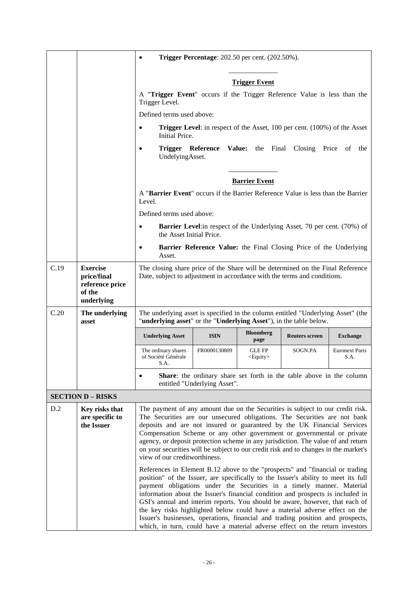|      |                                                                           | <b>Trigger Percentage:</b> 202.50 per cent. (202.50%).<br>٠                                                                                                                                                                                                                                                                                                                                                                                                                                                                                                                                                                                                                                           |                                                                                             |                                    |                                                                                 |                               |  |
|------|---------------------------------------------------------------------------|-------------------------------------------------------------------------------------------------------------------------------------------------------------------------------------------------------------------------------------------------------------------------------------------------------------------------------------------------------------------------------------------------------------------------------------------------------------------------------------------------------------------------------------------------------------------------------------------------------------------------------------------------------------------------------------------------------|---------------------------------------------------------------------------------------------|------------------------------------|---------------------------------------------------------------------------------|-------------------------------|--|
|      |                                                                           | <b>Trigger Event</b>                                                                                                                                                                                                                                                                                                                                                                                                                                                                                                                                                                                                                                                                                  |                                                                                             |                                    |                                                                                 |                               |  |
|      |                                                                           | A "Trigger Event" occurs if the Trigger Reference Value is less than the<br>Trigger Level.                                                                                                                                                                                                                                                                                                                                                                                                                                                                                                                                                                                                            |                                                                                             |                                    |                                                                                 |                               |  |
|      |                                                                           | Defined terms used above:                                                                                                                                                                                                                                                                                                                                                                                                                                                                                                                                                                                                                                                                             |                                                                                             |                                    |                                                                                 |                               |  |
|      |                                                                           | $\bullet$                                                                                                                                                                                                                                                                                                                                                                                                                                                                                                                                                                                                                                                                                             | Trigger Level: in respect of the Asset, 100 per cent. (100%) of the Asset<br>Initial Price. |                                    |                                                                                 |                               |  |
|      |                                                                           | Trigger Reference<br><b>Value:</b><br>the Final<br>Closing Price<br>of<br>the<br>$\bullet$<br>Undelying Asset.                                                                                                                                                                                                                                                                                                                                                                                                                                                                                                                                                                                        |                                                                                             |                                    |                                                                                 |                               |  |
|      |                                                                           |                                                                                                                                                                                                                                                                                                                                                                                                                                                                                                                                                                                                                                                                                                       |                                                                                             | <b>Barrier Event</b>               |                                                                                 |                               |  |
|      |                                                                           | A "Barrier Event" occurs if the Barrier Reference Value is less than the Barrier<br>Level.                                                                                                                                                                                                                                                                                                                                                                                                                                                                                                                                                                                                            |                                                                                             |                                    |                                                                                 |                               |  |
|      |                                                                           | Defined terms used above:                                                                                                                                                                                                                                                                                                                                                                                                                                                                                                                                                                                                                                                                             |                                                                                             |                                    |                                                                                 |                               |  |
|      |                                                                           | $\bullet$<br>the Asset Initial Price.                                                                                                                                                                                                                                                                                                                                                                                                                                                                                                                                                                                                                                                                 |                                                                                             |                                    | <b>Barrier Level</b> :in respect of the Underlying Asset, 70 per cent. (70%) of |                               |  |
|      |                                                                           | $\bullet$<br>Asset.                                                                                                                                                                                                                                                                                                                                                                                                                                                                                                                                                                                                                                                                                   |                                                                                             |                                    | Barrier Reference Value: the Final Closing Price of the Underlying              |                               |  |
| C.19 | <b>Exercise</b><br>price/final<br>reference price<br>of the<br>underlying | The closing share price of the Share will be determined on the Final Reference<br>Date, subject to adjustment in accordance with the terms and conditions.                                                                                                                                                                                                                                                                                                                                                                                                                                                                                                                                            |                                                                                             |                                    |                                                                                 |                               |  |
| C.20 | The underlying<br>asset                                                   | The underlying asset is specified in the column entitled "Underlying Asset" (the<br>"underlying asset" or the "Underlying Asset"), in the table below.                                                                                                                                                                                                                                                                                                                                                                                                                                                                                                                                                |                                                                                             |                                    |                                                                                 |                               |  |
|      |                                                                           | <b>Bloomberg</b><br><b>Underlying Asset</b><br><b>ISIN</b><br><b>Reuters screen</b><br>page                                                                                                                                                                                                                                                                                                                                                                                                                                                                                                                                                                                                           |                                                                                             |                                    |                                                                                 | <b>Exchange</b>               |  |
|      |                                                                           | The ordinary shares<br>of Société Générale<br>S.A.                                                                                                                                                                                                                                                                                                                                                                                                                                                                                                                                                                                                                                                    | FR0000130809                                                                                | <b>GLE FP</b><br>$\leq$ Equity $>$ | SOGN.PA                                                                         | <b>Euronext Paris</b><br>S.A. |  |
|      |                                                                           | Share: the ordinary share set forth in the table above in the column<br>entitled "Underlying Asset".                                                                                                                                                                                                                                                                                                                                                                                                                                                                                                                                                                                                  |                                                                                             |                                    |                                                                                 |                               |  |
|      | <b>SECTION D - RISKS</b>                                                  |                                                                                                                                                                                                                                                                                                                                                                                                                                                                                                                                                                                                                                                                                                       |                                                                                             |                                    |                                                                                 |                               |  |
| D.2  | Key risks that<br>are specific to<br>the Issuer                           | The payment of any amount due on the Securities is subject to our credit risk.<br>The Securities are our unsecured obligations. The Securities are not bank<br>deposits and are not insured or guaranteed by the UK Financial Services<br>Compensation Scheme or any other government or governmental or private<br>agency, or deposit protection scheme in any jurisdiction. The value of and return<br>on your securities will be subject to our credit risk and to changes in the market's<br>view of our creditworthiness.<br>References in Element B.12 above to the "prospects" and "financial or trading<br>position" of the Issuer, are specifically to the Issuer's ability to meet its full |                                                                                             |                                    |                                                                                 |                               |  |
|      |                                                                           | payment obligations under the Securities in a timely manner. Material<br>information about the Issuer's financial condition and prospects is included in<br>GSI's annual and interim reports. You should be aware, however, that each of<br>the key risks highlighted below could have a material adverse effect on the<br>Issuer's businesses, operations, financial and trading position and prospects,<br>which, in turn, could have a material adverse effect on the return investors                                                                                                                                                                                                             |                                                                                             |                                    |                                                                                 |                               |  |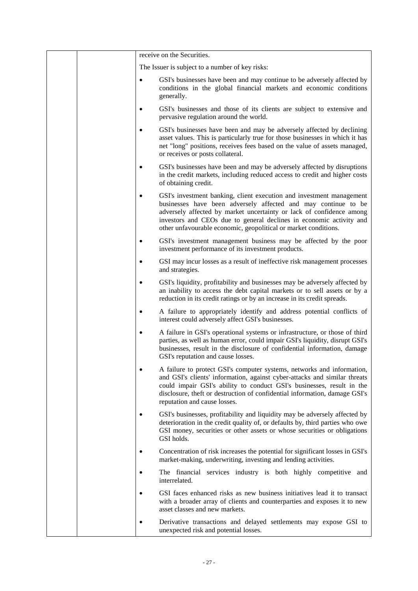|  | receive on the Securities. |                                                                                                                                                                                                                                                                                                                                                          |  |  |
|--|----------------------------|----------------------------------------------------------------------------------------------------------------------------------------------------------------------------------------------------------------------------------------------------------------------------------------------------------------------------------------------------------|--|--|
|  |                            | The Issuer is subject to a number of key risks:                                                                                                                                                                                                                                                                                                          |  |  |
|  | $\bullet$                  | GSI's businesses have been and may continue to be adversely affected by<br>conditions in the global financial markets and economic conditions<br>generally.                                                                                                                                                                                              |  |  |
|  |                            | GSI's businesses and those of its clients are subject to extensive and<br>pervasive regulation around the world.                                                                                                                                                                                                                                         |  |  |
|  | $\bullet$                  | GSI's businesses have been and may be adversely affected by declining<br>asset values. This is particularly true for those businesses in which it has<br>net "long" positions, receives fees based on the value of assets managed,<br>or receives or posts collateral.                                                                                   |  |  |
|  |                            | GSI's businesses have been and may be adversely affected by disruptions<br>in the credit markets, including reduced access to credit and higher costs<br>of obtaining credit.                                                                                                                                                                            |  |  |
|  | ٠                          | GSI's investment banking, client execution and investment management<br>businesses have been adversely affected and may continue to be<br>adversely affected by market uncertainty or lack of confidence among<br>investors and CEOs due to general declines in economic activity and<br>other unfavourable economic, geopolitical or market conditions. |  |  |
|  |                            | GSI's investment management business may be affected by the poor<br>investment performance of its investment products.                                                                                                                                                                                                                                   |  |  |
|  | ٠                          | GSI may incur losses as a result of ineffective risk management processes<br>and strategies.                                                                                                                                                                                                                                                             |  |  |
|  | ٠                          | GSI's liquidity, profitability and businesses may be adversely affected by<br>an inability to access the debt capital markets or to sell assets or by a<br>reduction in its credit ratings or by an increase in its credit spreads.                                                                                                                      |  |  |
|  |                            | A failure to appropriately identify and address potential conflicts of<br>interest could adversely affect GSI's businesses.                                                                                                                                                                                                                              |  |  |
|  |                            | A failure in GSI's operational systems or infrastructure, or those of third<br>parties, as well as human error, could impair GSI's liquidity, disrupt GSI's<br>businesses, result in the disclosure of confidential information, damage<br>GSI's reputation and cause losses.                                                                            |  |  |
|  |                            | A failure to protect GSI's computer systems, networks and information,<br>and GSI's clients' information, against cyber-attacks and similar threats<br>could impair GSI's ability to conduct GSI's businesses, result in the<br>disclosure, theft or destruction of confidential information, damage GSI's<br>reputation and cause losses.               |  |  |
|  |                            | GSI's businesses, profitability and liquidity may be adversely affected by<br>deterioration in the credit quality of, or defaults by, third parties who owe<br>GSI money, securities or other assets or whose securities or obligations<br>GSI holds.                                                                                                    |  |  |
|  |                            | Concentration of risk increases the potential for significant losses in GSI's<br>market-making, underwriting, investing and lending activities.                                                                                                                                                                                                          |  |  |
|  |                            | The financial services industry is both highly competitive and<br>interrelated.                                                                                                                                                                                                                                                                          |  |  |
|  |                            | GSI faces enhanced risks as new business initiatives lead it to transact<br>with a broader array of clients and counterparties and exposes it to new<br>asset classes and new markets.                                                                                                                                                                   |  |  |
|  |                            | Derivative transactions and delayed settlements may expose GSI to<br>unexpected risk and potential losses.                                                                                                                                                                                                                                               |  |  |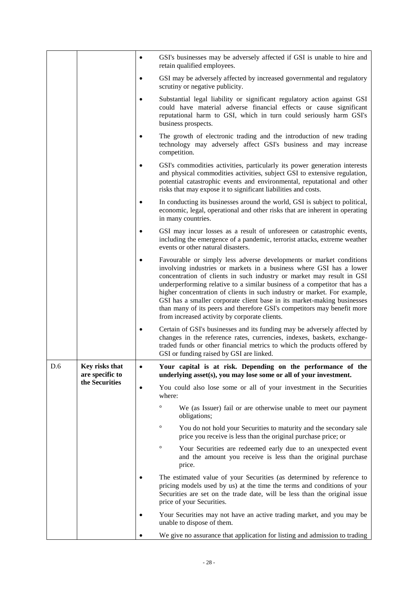|     |                                   | $\bullet$ | GSI's businesses may be adversely affected if GSI is unable to hire and<br>retain qualified employees.                                                                                                                                                                                                                                                                                                                                                                                                                                                                              |
|-----|-----------------------------------|-----------|-------------------------------------------------------------------------------------------------------------------------------------------------------------------------------------------------------------------------------------------------------------------------------------------------------------------------------------------------------------------------------------------------------------------------------------------------------------------------------------------------------------------------------------------------------------------------------------|
|     |                                   |           | GSI may be adversely affected by increased governmental and regulatory<br>scrutiny or negative publicity.                                                                                                                                                                                                                                                                                                                                                                                                                                                                           |
|     |                                   |           | Substantial legal liability or significant regulatory action against GSI<br>could have material adverse financial effects or cause significant<br>reputational harm to GSI, which in turn could seriously harm GSI's<br>business prospects.                                                                                                                                                                                                                                                                                                                                         |
|     |                                   |           | The growth of electronic trading and the introduction of new trading<br>technology may adversely affect GSI's business and may increase<br>competition.                                                                                                                                                                                                                                                                                                                                                                                                                             |
|     |                                   |           | GSI's commodities activities, particularly its power generation interests<br>and physical commodities activities, subject GSI to extensive regulation,<br>potential catastrophic events and environmental, reputational and other<br>risks that may expose it to significant liabilities and costs.                                                                                                                                                                                                                                                                                 |
|     |                                   |           | In conducting its businesses around the world, GSI is subject to political,<br>economic, legal, operational and other risks that are inherent in operating<br>in many countries.                                                                                                                                                                                                                                                                                                                                                                                                    |
|     |                                   |           | GSI may incur losses as a result of unforeseen or catastrophic events,<br>including the emergence of a pandemic, terrorist attacks, extreme weather<br>events or other natural disasters.                                                                                                                                                                                                                                                                                                                                                                                           |
|     |                                   |           | Favourable or simply less adverse developments or market conditions<br>involving industries or markets in a business where GSI has a lower<br>concentration of clients in such industry or market may result in GSI<br>underperforming relative to a similar business of a competitor that has a<br>higher concentration of clients in such industry or market. For example,<br>GSI has a smaller corporate client base in its market-making businesses<br>than many of its peers and therefore GSI's competitors may benefit more<br>from increased activity by corporate clients. |
|     |                                   |           | Certain of GSI's businesses and its funding may be adversely affected by<br>changes in the reference rates, currencies, indexes, baskets, exchange-<br>traded funds or other financial metrics to which the products offered by<br>GSI or funding raised by GSI are linked.                                                                                                                                                                                                                                                                                                         |
| D.6 | Key risks that<br>are specific to | ٠         | Your capital is at risk. Depending on the performance of the<br>underlying asset(s), you may lose some or all of your investment.                                                                                                                                                                                                                                                                                                                                                                                                                                                   |
|     | the Securities                    |           | You could also lose some or all of your investment in the Securities<br>where:                                                                                                                                                                                                                                                                                                                                                                                                                                                                                                      |
|     |                                   |           | $\circ$<br>We (as Issuer) fail or are otherwise unable to meet our payment<br>obligations;                                                                                                                                                                                                                                                                                                                                                                                                                                                                                          |
|     |                                   |           | $\circ$<br>You do not hold your Securities to maturity and the secondary sale<br>price you receive is less than the original purchase price; or                                                                                                                                                                                                                                                                                                                                                                                                                                     |
|     |                                   |           | $\circ$<br>Your Securities are redeemed early due to an unexpected event<br>and the amount you receive is less than the original purchase<br>price.                                                                                                                                                                                                                                                                                                                                                                                                                                 |
|     |                                   |           | The estimated value of your Securities (as determined by reference to<br>pricing models used by us) at the time the terms and conditions of your<br>Securities are set on the trade date, will be less than the original issue<br>price of your Securities.                                                                                                                                                                                                                                                                                                                         |
|     |                                   |           | Your Securities may not have an active trading market, and you may be<br>unable to dispose of them.                                                                                                                                                                                                                                                                                                                                                                                                                                                                                 |
|     |                                   |           | We give no assurance that application for listing and admission to trading                                                                                                                                                                                                                                                                                                                                                                                                                                                                                                          |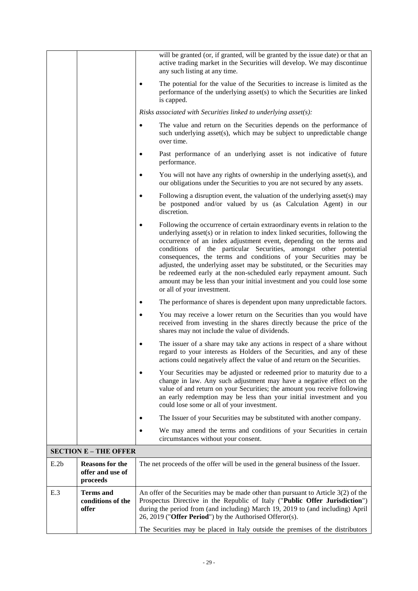|      |                                                        | will be granted (or, if granted, will be granted by the issue date) or that an<br>active trading market in the Securities will develop. We may discontinue<br>any such listing at any time.                                                                                                                                                                                                                                                                                                                                                                                                                                            |
|------|--------------------------------------------------------|----------------------------------------------------------------------------------------------------------------------------------------------------------------------------------------------------------------------------------------------------------------------------------------------------------------------------------------------------------------------------------------------------------------------------------------------------------------------------------------------------------------------------------------------------------------------------------------------------------------------------------------|
|      |                                                        | The potential for the value of the Securities to increase is limited as the<br>performance of the underlying asset(s) to which the Securities are linked<br>is capped.                                                                                                                                                                                                                                                                                                                                                                                                                                                                 |
|      |                                                        | Risks associated with Securities linked to underlying asset(s):                                                                                                                                                                                                                                                                                                                                                                                                                                                                                                                                                                        |
|      |                                                        | The value and return on the Securities depends on the performance of<br>such underlying asset(s), which may be subject to unpredictable change<br>over time.                                                                                                                                                                                                                                                                                                                                                                                                                                                                           |
|      |                                                        | Past performance of an underlying asset is not indicative of future<br>performance.                                                                                                                                                                                                                                                                                                                                                                                                                                                                                                                                                    |
|      |                                                        | You will not have any rights of ownership in the underlying asset(s), and<br>our obligations under the Securities to you are not secured by any assets.                                                                                                                                                                                                                                                                                                                                                                                                                                                                                |
|      |                                                        | Following a disruption event, the valuation of the underlying asset(s) may<br>be postponed and/or valued by us (as Calculation Agent) in our<br>discretion.                                                                                                                                                                                                                                                                                                                                                                                                                                                                            |
|      |                                                        | Following the occurrence of certain extraordinary events in relation to the<br>underlying asset(s) or in relation to index linked securities, following the<br>occurrence of an index adjustment event, depending on the terms and<br>conditions of the particular Securities, amongst other potential<br>consequences, the terms and conditions of your Securities may be<br>adjusted, the underlying asset may be substituted, or the Securities may<br>be redeemed early at the non-scheduled early repayment amount. Such<br>amount may be less than your initial investment and you could lose some<br>or all of your investment. |
|      |                                                        | The performance of shares is dependent upon many unpredictable factors.                                                                                                                                                                                                                                                                                                                                                                                                                                                                                                                                                                |
|      |                                                        | You may receive a lower return on the Securities than you would have<br>received from investing in the shares directly because the price of the<br>shares may not include the value of dividends.                                                                                                                                                                                                                                                                                                                                                                                                                                      |
|      |                                                        | The issuer of a share may take any actions in respect of a share without<br>regard to your interests as Holders of the Securities, and any of these<br>actions could negatively affect the value of and return on the Securities.                                                                                                                                                                                                                                                                                                                                                                                                      |
|      |                                                        | Your Securities may be adjusted or redeemed prior to maturity due to a<br>change in law. Any such adjustment may have a negative effect on the<br>value of and return on your Securities; the amount you receive following<br>an early redemption may be less than your initial investment and you<br>could lose some or all of your investment.                                                                                                                                                                                                                                                                                       |
|      |                                                        | The Issuer of your Securities may be substituted with another company.                                                                                                                                                                                                                                                                                                                                                                                                                                                                                                                                                                 |
|      |                                                        | We may amend the terms and conditions of your Securities in certain<br>circumstances without your consent.                                                                                                                                                                                                                                                                                                                                                                                                                                                                                                                             |
|      | <b>SECTION E - THE OFFER</b>                           |                                                                                                                                                                                                                                                                                                                                                                                                                                                                                                                                                                                                                                        |
| E.2b | <b>Reasons for the</b><br>offer and use of<br>proceeds | The net proceeds of the offer will be used in the general business of the Issuer.                                                                                                                                                                                                                                                                                                                                                                                                                                                                                                                                                      |
| E.3  | <b>Terms</b> and<br>conditions of the<br>offer         | An offer of the Securities may be made other than pursuant to Article $3(2)$ of the<br>Prospectus Directive in the Republic of Italy ("Public Offer Jurisdiction")<br>during the period from (and including) March 19, 2019 to (and including) April<br>26, 2019 ("Offer Period") by the Authorised Offeror(s).                                                                                                                                                                                                                                                                                                                        |
|      |                                                        | The Securities may be placed in Italy outside the premises of the distributors                                                                                                                                                                                                                                                                                                                                                                                                                                                                                                                                                         |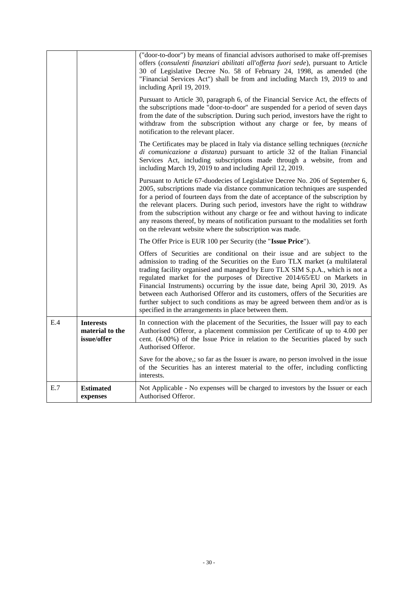|     |                                                    | ("door-to-door") by means of financial advisors authorised to make off-premises<br>offers (consulenti finanziari abilitati all'offerta fuori sede), pursuant to Article<br>30 of Legislative Decree No. 58 of February 24, 1998, as amended (the<br>"Financial Services Act") shall be from and including March 19, 2019 to and<br>including April 19, 2019.                                                                                                                                                                                                                                                                        |
|-----|----------------------------------------------------|-------------------------------------------------------------------------------------------------------------------------------------------------------------------------------------------------------------------------------------------------------------------------------------------------------------------------------------------------------------------------------------------------------------------------------------------------------------------------------------------------------------------------------------------------------------------------------------------------------------------------------------|
|     |                                                    | Pursuant to Article 30, paragraph 6, of the Financial Service Act, the effects of<br>the subscriptions made "door-to-door" are suspended for a period of seven days<br>from the date of the subscription. During such period, investors have the right to<br>withdraw from the subscription without any charge or fee, by means of<br>notification to the relevant placer.                                                                                                                                                                                                                                                          |
|     |                                                    | The Certificates may be placed in Italy via distance selling techniques (tecniche<br>di comunicazione a distanza) pursuant to article 32 of the Italian Financial<br>Services Act, including subscriptions made through a website, from and<br>including March 19, 2019 to and including April 12, 2019.                                                                                                                                                                                                                                                                                                                            |
|     |                                                    | Pursuant to Article 67-duodecies of Legislative Decree No. 206 of September 6,<br>2005, subscriptions made via distance communication techniques are suspended<br>for a period of fourteen days from the date of acceptance of the subscription by<br>the relevant placers. During such period, investors have the right to withdraw<br>from the subscription without any charge or fee and without having to indicate<br>any reasons thereof, by means of notification pursuant to the modalities set forth<br>on the relevant website where the subscription was made.                                                            |
|     |                                                    | The Offer Price is EUR 100 per Security (the "Issue Price").                                                                                                                                                                                                                                                                                                                                                                                                                                                                                                                                                                        |
|     |                                                    | Offers of Securities are conditional on their issue and are subject to the<br>admission to trading of the Securities on the Euro TLX market (a multilateral<br>trading facility organised and managed by Euro TLX SIM S.p.A., which is not a<br>regulated market for the purposes of Directive 2014/65/EU on Markets in<br>Financial Instruments) occurring by the issue date, being April 30, 2019. As<br>between each Authorised Offeror and its customers, offers of the Securities are<br>further subject to such conditions as may be agreed between them and/or as is<br>specified in the arrangements in place between them. |
| E.4 | <b>Interests</b><br>material to the<br>issue/offer | In connection with the placement of the Securities, the Issuer will pay to each<br>Authorised Offeror, a placement commission per Certificate of up to 4.00 per<br>cent. (4.00%) of the Issue Price in relation to the Securities placed by such<br>Authorised Offeror.                                                                                                                                                                                                                                                                                                                                                             |
|     |                                                    | Save for the above,; so far as the Issuer is aware, no person involved in the issue<br>of the Securities has an interest material to the offer, including conflicting<br>interests.                                                                                                                                                                                                                                                                                                                                                                                                                                                 |
| E.7 | <b>Estimated</b><br>expenses                       | Not Applicable - No expenses will be charged to investors by the Issuer or each<br>Authorised Offeror.                                                                                                                                                                                                                                                                                                                                                                                                                                                                                                                              |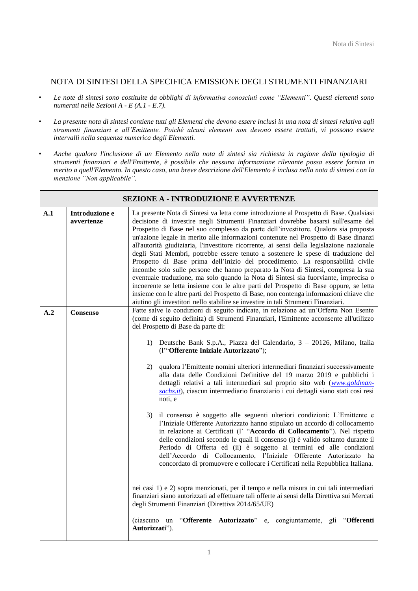# NOTA DI SINTESI DELLA SPECIFICA EMISSIONE DEGLI STRUMENTI FINANZIARI

- *Le note di sintesi sono costituite da obblighi di informativa conosciuti come "Elementi". Questi elementi sono numerati nelle Sezioni A - E (A.1 - E.7).*
- *La presente nota di sintesi contiene tutti gli Elementi che devono essere inclusi in una nota di sintesi relativa agli strumenti finanziari e all'Emittente. Poiché alcuni elementi non devono essere trattati, vi possono essere intervalli nella sequenza numerica degli Elementi.*
- *Anche qualora l'inclusione di un Elemento nella nota di sintesi sia richiesta in ragione della tipologia di strumenti finanziari e dell'Emittente, è possibile che nessuna informazione rilevante possa essere fornita in merito a quell'Elemento. In questo caso, una breve descrizione dell'Elemento è inclusa nella nota di sintesi con la menzione "Non applicabile".*

| <b>SEZIONE A - INTRODUZIONE E AVVERTENZE</b> |                                                                                                                                                                                                                                                                                                                                                                                                                                                                                                                                                                                                                                                                                                                                                                                                                                                                                                                                                                                                                                                                                                                                                                                                                                                                                                                                                                                                                                                                                                                                                                                                   |  |  |  |  |  |
|----------------------------------------------|---------------------------------------------------------------------------------------------------------------------------------------------------------------------------------------------------------------------------------------------------------------------------------------------------------------------------------------------------------------------------------------------------------------------------------------------------------------------------------------------------------------------------------------------------------------------------------------------------------------------------------------------------------------------------------------------------------------------------------------------------------------------------------------------------------------------------------------------------------------------------------------------------------------------------------------------------------------------------------------------------------------------------------------------------------------------------------------------------------------------------------------------------------------------------------------------------------------------------------------------------------------------------------------------------------------------------------------------------------------------------------------------------------------------------------------------------------------------------------------------------------------------------------------------------------------------------------------------------|--|--|--|--|--|
| Introduzione e<br>A.1<br>avvertenze          | La presente Nota di Sintesi va letta come introduzione al Prospetto di Base. Qualsiasi<br>decisione di investire negli Strumenti Finanziari dovrebbe basarsi sull'esame del<br>Prospetto di Base nel suo complesso da parte dell'investitore. Qualora sia proposta<br>un'azione legale in merito alle informazioni contenute nel Prospetto di Base dinanzi<br>all'autorità giudiziaria, l'investitore ricorrente, ai sensi della legislazione nazionale<br>degli Stati Membri, potrebbe essere tenuto a sostenere le spese di traduzione del<br>Prospetto di Base prima dell'inizio del procedimento. La responsabilità civile<br>incombe solo sulle persone che hanno preparato la Nota di Sintesi, compresa la sua<br>eventuale traduzione, ma solo quando la Nota di Sintesi sia fuorviante, imprecisa o<br>incoerente se letta insieme con le altre parti del Prospetto di Base oppure, se letta<br>insieme con le altre parti del Prospetto di Base, non contenga informazioni chiave che<br>aiutino gli investitori nello stabilire se investire in tali Strumenti Finanziari.                                                                                                                                                                                                                                                                                                                                                                                                                                                                                                              |  |  |  |  |  |
| A.2<br><b>Consenso</b>                       | Fatte salve le condizioni di seguito indicate, in relazione ad un'Offerta Non Esente<br>(come di seguito definita) di Strumenti Finanziari, l'Emittente acconsente all'utilizzo<br>del Prospetto di Base da parte di:<br>1) Deutsche Bank S.p.A., Piazza del Calendario, 3 - 20126, Milano, Italia<br>(l'"Offerente Iniziale Autorizzato");<br>2)<br>qualora l'Emittente nomini ulteriori intermediari finanziari successivamente<br>alla data delle Condizioni Definitive del 19 marzo 2019 e pubblichi i<br>dettagli relativi a tali intermediari sul proprio sito web (www.goldman-<br>sachs.it), ciascun intermediario finanziario i cui dettagli siano stati così resi<br>noti, e<br>il consenso è soggetto alle seguenti ulteriori condizioni: L'Emittente e<br>3)<br>l'Iniziale Offerente Autorizzato hanno stipulato un accordo di collocamento<br>in relazione ai Certificati (l' "Accordo di Collocamento"). Nel rispetto<br>delle condizioni secondo le quali il consenso (i) è valido soltanto durante il<br>Periodo di Offerta ed (ii) è soggetto ai termini ed alle condizioni<br>dell'Accordo di Collocamento, l'Iniziale Offerente Autorizzato ha<br>concordato di promuovere e collocare i Certificati nella Repubblica Italiana.<br>nei casi 1) e 2) sopra menzionati, per il tempo e nella misura in cui tali intermediari<br>finanziari siano autorizzati ad effettuare tali offerte ai sensi della Direttiva sui Mercati<br>degli Strumenti Finanziari (Direttiva 2014/65/UE)<br>"Offerente Autorizzato" e, congiuntamente, gli "Offerenti<br>(ciascuno un<br>Autorizzati"). |  |  |  |  |  |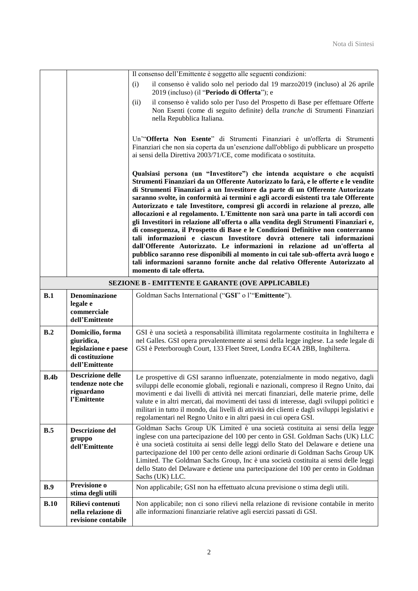|      |                                                                                             | Il consenso dell'Emittente è soggetto alle seguenti condizioni:                                                                                                                                                                                                                                                                                                                                                                                                                                                                                                                                                                                                                                                                                                                                                                                                                                                                                                                                                                                            |  |  |
|------|---------------------------------------------------------------------------------------------|------------------------------------------------------------------------------------------------------------------------------------------------------------------------------------------------------------------------------------------------------------------------------------------------------------------------------------------------------------------------------------------------------------------------------------------------------------------------------------------------------------------------------------------------------------------------------------------------------------------------------------------------------------------------------------------------------------------------------------------------------------------------------------------------------------------------------------------------------------------------------------------------------------------------------------------------------------------------------------------------------------------------------------------------------------|--|--|
|      |                                                                                             | il consenso è valido solo nel periodo dal 19 marzo2019 (incluso) al 26 aprile<br>(i)<br>2019 (incluso) (il "Periodo di Offerta"); e                                                                                                                                                                                                                                                                                                                                                                                                                                                                                                                                                                                                                                                                                                                                                                                                                                                                                                                        |  |  |
|      |                                                                                             | il consenso è valido solo per l'uso del Prospetto di Base per effettuare Offerte<br>(ii)<br>Non Esenti (come di seguito definite) della tranche di Strumenti Finanziari<br>nella Repubblica Italiana.                                                                                                                                                                                                                                                                                                                                                                                                                                                                                                                                                                                                                                                                                                                                                                                                                                                      |  |  |
|      |                                                                                             | Un'"Offerta Non Esente" di Strumenti Finanziari è un'offerta di Strumenti<br>Finanziari che non sia coperta da un'esenzione dall'obbligo di pubblicare un prospetto<br>ai sensi della Direttiva 2003/71/CE, come modificata o sostituita.                                                                                                                                                                                                                                                                                                                                                                                                                                                                                                                                                                                                                                                                                                                                                                                                                  |  |  |
|      |                                                                                             | Qualsiasi persona (un "Investitore") che intenda acquistare o che acquisti<br>Strumenti Finanziari da un Offerente Autorizzato lo farà, e le offerte e le vendite<br>di Strumenti Finanziari a un Investitore da parte di un Offerente Autorizzato<br>saranno svolte, in conformità ai termini e agli accordi esistenti tra tale Offerente<br>Autorizzato e tale Investitore, compresi gli accordi in relazione al prezzo, alle<br>allocazioni e al regolamento. L'Emittente non sarà una parte in tali accordi con<br>gli Investitori in relazione all'offerta o alla vendita degli Strumenti Finanziari e,<br>di conseguenza, il Prospetto di Base e le Condizioni Definitive non conterranno<br>tali informazioni e ciascun Investitore dovrà ottenere tali informazioni<br>dall'Offerente Autorizzato. Le informazioni in relazione ad un'offerta al<br>pubblico saranno rese disponibili al momento in cui tale sub-offerta avrà luogo e<br>tali informazioni saranno fornite anche dal relativo Offerente Autorizzato al<br>momento di tale offerta. |  |  |
|      |                                                                                             | <b>SEZIONE B - EMITTENTE E GARANTE (OVE APPLICABILE)</b>                                                                                                                                                                                                                                                                                                                                                                                                                                                                                                                                                                                                                                                                                                                                                                                                                                                                                                                                                                                                   |  |  |
| B.1  | Denominazione<br>legale e<br>commerciale<br>dell'Emittente                                  | Goldman Sachs International ("GSI" o l'"Emittente").                                                                                                                                                                                                                                                                                                                                                                                                                                                                                                                                                                                                                                                                                                                                                                                                                                                                                                                                                                                                       |  |  |
| B.2  | Domicilio, forma<br>giuridica,<br>legislazione e paese<br>di costituzione<br>dell'Emittente | GSI è una società a responsabilità illimitata regolarmente costituita in Inghilterra e<br>nel Galles. GSI opera prevalentemente ai sensi della legge inglese. La sede legale di<br>GSI è Peterborough Court, 133 Fleet Street, Londra EC4A 2BB, Inghilterra.                                                                                                                                                                                                                                                                                                                                                                                                                                                                                                                                                                                                                                                                                                                                                                                               |  |  |
| B.4b | <b>Descrizione delle</b><br>tendenze note che<br>riguardano<br>l'Emittente                  | Le prospettive di GSI saranno influenzate, potenzialmente in modo negativo, dagli<br>sviluppi delle economie globali, regionali e nazionali, compreso il Regno Unito, dai<br>movimenti e dai livelli di attività nei mercati finanziari, delle materie prime, delle<br>valute e in altri mercati, dai movimenti dei tassi di interesse, dagli sviluppi politici e<br>militari in tutto il mondo, dai livelli di attività dei clienti e dagli sviluppi legislativi e<br>regolamentari nel Regno Unito e in altri paesi in cui opera GSI.                                                                                                                                                                                                                                                                                                                                                                                                                                                                                                                    |  |  |
| B.5  | <b>Descrizione del</b><br>gruppo<br>dell'Emittente                                          | Goldman Sachs Group UK Limited è una società costituita ai sensi della legge<br>inglese con una partecipazione del 100 per cento in GSI. Goldman Sachs (UK) LLC<br>è una società costituita ai sensi delle leggi dello Stato del Delaware e detiene una<br>partecipazione del 100 per cento delle azioni ordinarie di Goldman Sachs Group UK<br>Limited. The Goldman Sachs Group, Inc è una società costituita ai sensi delle leggi<br>dello Stato del Delaware e detiene una partecipazione del 100 per cento in Goldman<br>Sachs (UK) LLC.                                                                                                                                                                                                                                                                                                                                                                                                                                                                                                               |  |  |
| B.9  | Previsione o<br>stima degli utili                                                           | Non applicabile; GSI non ha effettuato alcuna previsione o stima degli utili.                                                                                                                                                                                                                                                                                                                                                                                                                                                                                                                                                                                                                                                                                                                                                                                                                                                                                                                                                                              |  |  |
| B.10 | Rilievi contenuti<br>nella relazione di<br>revisione contabile                              | Non applicabile; non ci sono rilievi nella relazione di revisione contabile in merito<br>alle informazioni finanziarie relative agli esercizi passati di GSI.                                                                                                                                                                                                                                                                                                                                                                                                                                                                                                                                                                                                                                                                                                                                                                                                                                                                                              |  |  |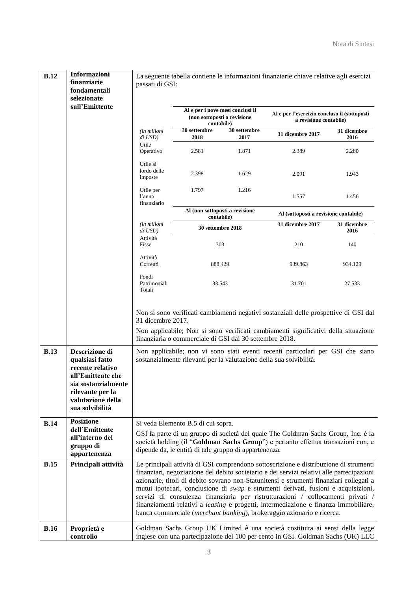| B.12        | Informazioni<br>La seguente tabella contiene le informazioni finanziarie chiave relative agli esercizi<br>finanziarie<br>passati di GSI:<br>fondamentali<br>selezionate |                                                                                                                                                                                                                                                                                                                                                                                                                                                                                                                                                                                                                         |                                                                               |                      |                                                                                                                                                                            |                     |
|-------------|-------------------------------------------------------------------------------------------------------------------------------------------------------------------------|-------------------------------------------------------------------------------------------------------------------------------------------------------------------------------------------------------------------------------------------------------------------------------------------------------------------------------------------------------------------------------------------------------------------------------------------------------------------------------------------------------------------------------------------------------------------------------------------------------------------------|-------------------------------------------------------------------------------|----------------------|----------------------------------------------------------------------------------------------------------------------------------------------------------------------------|---------------------|
|             | sull'Emittente                                                                                                                                                          |                                                                                                                                                                                                                                                                                                                                                                                                                                                                                                                                                                                                                         | Al e per i nove mesi conclusi il<br>(non sottoposti a revisione<br>contabile) |                      | Al e per l'esercizio concluso il (sottoposti<br>a revisione contabile)                                                                                                     |                     |
|             |                                                                                                                                                                         | (in milioni<br>di USD)                                                                                                                                                                                                                                                                                                                                                                                                                                                                                                                                                                                                  | 30 settembre<br>2018                                                          | 30 settembre<br>2017 | 31 dicembre 2017                                                                                                                                                           | 31 dicembre<br>2016 |
|             |                                                                                                                                                                         | Utile<br>Operativo                                                                                                                                                                                                                                                                                                                                                                                                                                                                                                                                                                                                      | 2.581                                                                         | 1.871                | 2.389                                                                                                                                                                      | 2.280               |
|             |                                                                                                                                                                         | Utile al<br>lordo delle<br>imposte                                                                                                                                                                                                                                                                                                                                                                                                                                                                                                                                                                                      | 2.398                                                                         | 1.629                | 2.091                                                                                                                                                                      | 1.943               |
|             |                                                                                                                                                                         | Utile per<br>l'anno<br>finanziario                                                                                                                                                                                                                                                                                                                                                                                                                                                                                                                                                                                      | 1.797                                                                         | 1.216                | 1.557                                                                                                                                                                      | 1.456               |
|             |                                                                                                                                                                         |                                                                                                                                                                                                                                                                                                                                                                                                                                                                                                                                                                                                                         | Al (non sottoposti a revisione<br>contabile)                                  |                      | Al (sottoposti a revisione contabile)                                                                                                                                      |                     |
|             |                                                                                                                                                                         | (in milioni<br>di USD)                                                                                                                                                                                                                                                                                                                                                                                                                                                                                                                                                                                                  | 30 settembre 2018                                                             |                      | 31 dicembre 2017                                                                                                                                                           | 31 dicembre<br>2016 |
|             |                                                                                                                                                                         | Attività<br>Fisse                                                                                                                                                                                                                                                                                                                                                                                                                                                                                                                                                                                                       | 303                                                                           |                      | 210                                                                                                                                                                        | 140                 |
|             |                                                                                                                                                                         | Attività<br>Correnti                                                                                                                                                                                                                                                                                                                                                                                                                                                                                                                                                                                                    | 888.429                                                                       |                      | 939.863                                                                                                                                                                    | 934.129             |
|             |                                                                                                                                                                         | Fondi<br>Patrimoniali<br>Totali                                                                                                                                                                                                                                                                                                                                                                                                                                                                                                                                                                                         | 33.543                                                                        |                      | 31.701                                                                                                                                                                     | 27.533              |
|             |                                                                                                                                                                         | 31 dicembre 2017.                                                                                                                                                                                                                                                                                                                                                                                                                                                                                                                                                                                                       | finanziaria o commerciale di GSI dal 30 settembre 2018.                       |                      | Non si sono verificati cambiamenti negativi sostanziali delle prospettive di GSI dal<br>Non applicabile; Non si sono verificati cambiamenti significativi della situazione |                     |
| <b>B.13</b> | Descrizione di<br>qualsiasi fatto<br>recente relativo<br>all'Emittente che<br>sia sostanzialmente<br>rilevante per la<br>valutazione della<br>sua solvibilità           | Non applicabile; non vi sono stati eventi recenti particolari per GSI che siano<br>sostanzialmente rilevanti per la valutazione della sua solvibilità.                                                                                                                                                                                                                                                                                                                                                                                                                                                                  |                                                                               |                      |                                                                                                                                                                            |                     |
| B.14        | <b>Posizione</b><br>dell'Emittente                                                                                                                                      |                                                                                                                                                                                                                                                                                                                                                                                                                                                                                                                                                                                                                         | Si veda Elemento B.5 di cui sopra.                                            |                      |                                                                                                                                                                            |                     |
|             | all'interno del<br>gruppo di<br>appartenenza                                                                                                                            | GSI fa parte di un gruppo di società del quale The Goldman Sachs Group, Inc. è la<br>società holding (il "Goldman Sachs Group") e pertanto effettua transazioni con, e<br>dipende da, le entità di tale gruppo di appartenenza.                                                                                                                                                                                                                                                                                                                                                                                         |                                                                               |                      |                                                                                                                                                                            |                     |
| B.15        | Principali attività                                                                                                                                                     | Le principali attività di GSI comprendono sottoscrizione e distribuzione di strumenti<br>finanziari, negoziazione del debito societario e dei servizi relativi alle partecipazioni<br>azionarie, titoli di debito sovrano non-Statunitensi e strumenti finanziari collegati a<br>mutui ipotecari, conclusione di swap e strumenti derivati, fusioni e acquisizioni,<br>servizi di consulenza finanziaria per ristrutturazioni / collocamenti privati /<br>finanziamenti relativi a leasing e progetti, intermediazione e finanza immobiliare,<br>banca commerciale (merchant banking), brokeraggio azionario e ricerca. |                                                                               |                      |                                                                                                                                                                            |                     |
| <b>B.16</b> | Proprietà e<br>controllo                                                                                                                                                | Goldman Sachs Group UK Limited è una società costituita ai sensi della legge<br>inglese con una partecipazione del 100 per cento in GSI. Goldman Sachs (UK) LLC                                                                                                                                                                                                                                                                                                                                                                                                                                                         |                                                                               |                      |                                                                                                                                                                            |                     |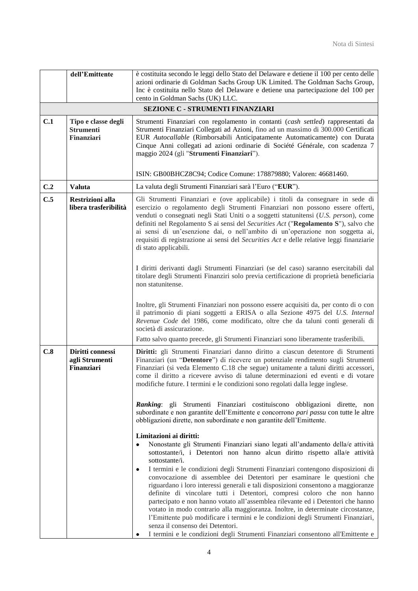|     | dell'Emittente                                        | è costituita secondo le leggi dello Stato del Delaware e detiene il 100 per cento delle<br>azioni ordinarie di Goldman Sachs Group UK Limited. The Goldman Sachs Group,<br>Inc è costituita nello Stato del Delaware e detiene una partecipazione del 100 per<br>cento in Goldman Sachs (UK) LLC.                                                                                                                                                                                                                                                                                                                                                                                                                                                                                                                                                                                                                                                                                                                                                                                                                                                                                                                                                                                                                                                                                                                                                                                                                                                                                                                            |  |  |  |
|-----|-------------------------------------------------------|------------------------------------------------------------------------------------------------------------------------------------------------------------------------------------------------------------------------------------------------------------------------------------------------------------------------------------------------------------------------------------------------------------------------------------------------------------------------------------------------------------------------------------------------------------------------------------------------------------------------------------------------------------------------------------------------------------------------------------------------------------------------------------------------------------------------------------------------------------------------------------------------------------------------------------------------------------------------------------------------------------------------------------------------------------------------------------------------------------------------------------------------------------------------------------------------------------------------------------------------------------------------------------------------------------------------------------------------------------------------------------------------------------------------------------------------------------------------------------------------------------------------------------------------------------------------------------------------------------------------------|--|--|--|
|     |                                                       | <b>SEZIONE C - STRUMENTI FINANZIARI</b>                                                                                                                                                                                                                                                                                                                                                                                                                                                                                                                                                                                                                                                                                                                                                                                                                                                                                                                                                                                                                                                                                                                                                                                                                                                                                                                                                                                                                                                                                                                                                                                      |  |  |  |
| C.1 | Tipo e classe degli<br><b>Strumenti</b><br>Finanziari | Strumenti Finanziari con regolamento in contanti (cash settled) rappresentati da<br>Strumenti Finanziari Collegati ad Azioni, fino ad un massimo di 300.000 Certificati<br>EUR Autocallable (Rimborsabili Anticipatamente Automaticamente) con Durata<br>Cinque Anni collegati ad azioni ordinarie di Société Générale, con scadenza 7<br>maggio 2024 (gli "Strumenti Finanziari").                                                                                                                                                                                                                                                                                                                                                                                                                                                                                                                                                                                                                                                                                                                                                                                                                                                                                                                                                                                                                                                                                                                                                                                                                                          |  |  |  |
|     |                                                       | ISIN: GB00BHCZ8C94; Codice Comune: 178879880; Valoren: 46681460.                                                                                                                                                                                                                                                                                                                                                                                                                                                                                                                                                                                                                                                                                                                                                                                                                                                                                                                                                                                                                                                                                                                                                                                                                                                                                                                                                                                                                                                                                                                                                             |  |  |  |
| C.2 | <b>Valuta</b>                                         | La valuta degli Strumenti Finanziari sarà l'Euro ("EUR").                                                                                                                                                                                                                                                                                                                                                                                                                                                                                                                                                                                                                                                                                                                                                                                                                                                                                                                                                                                                                                                                                                                                                                                                                                                                                                                                                                                                                                                                                                                                                                    |  |  |  |
| C.5 | Restrizioni alla<br>libera trasferibilità             | Gli Strumenti Finanziari e (ove applicabile) i titoli da consegnare in sede di<br>esercizio o regolamento degli Strumenti Finanziari non possono essere offerti,<br>venduti o consegnati negli Stati Uniti o a soggetti statunitensi (U.S. person), come<br>definiti nel Regolamento S ai sensi del Securities Act ("Regolamento S"), salvo che<br>ai sensi di un'esenzione dai, o nell'ambito di un'operazione non soggetta ai,<br>requisiti di registrazione ai sensi del Securities Act e delle relative leggi finanziarie<br>di stato applicabili.<br>I diritti derivanti dagli Strumenti Finanziari (se del caso) saranno esercitabili dal                                                                                                                                                                                                                                                                                                                                                                                                                                                                                                                                                                                                                                                                                                                                                                                                                                                                                                                                                                              |  |  |  |
|     |                                                       | titolare degli Strumenti Finanziri solo previa certificazione di proprietà beneficiaria<br>non statunitense.<br>Inoltre, gli Strumenti Finanziari non possono essere acquisiti da, per conto di o con<br>il patrimonio di piani soggetti a ERISA o alla Sezione 4975 del U.S. Internal<br>Revenue Code del 1986, come modificato, oltre che da taluni conti generali di<br>società di assicurazione.<br>Fatto salvo quanto precede, gli Strumenti Finanziari sono liberamente trasferibili.                                                                                                                                                                                                                                                                                                                                                                                                                                                                                                                                                                                                                                                                                                                                                                                                                                                                                                                                                                                                                                                                                                                                  |  |  |  |
| C.8 | Diritti connessi<br>agli Strumenti<br>Finanziari      | Diritti: gli Strumenti Finanziari danno diritto a ciascun detentore di Strumenti<br>Finanziari (un "Detentore") di ricevere un potenziale rendimento sugli Strumenti<br>Finanziari (si veda Elemento C.18 che segue) unitamente a taluni diritti accessori,<br>come il diritto a ricevere avviso di talune determinazioni ed eventi e di votare<br>modifiche future. I termini e le condizioni sono regolati dalla legge inglese.<br>Ranking: gli Strumenti Finanziari costituiscono obbligazioni dirette,<br>non<br>subordinate e non garantite dell'Emittente e concorrono pari passu con tutte le altre<br>obbligazioni dirette, non subordinate e non garantite dell'Emittente.<br>Limitazioni ai diritti:<br>Nonostante gli Strumenti Finanziari siano legati all'andamento della/e attività<br>$\bullet$<br>sottostante/i, i Detentori non hanno alcun diritto rispetto alla/e attività<br>sottostante/i.<br>I termini e le condizioni degli Strumenti Finanziari contengono disposizioni di<br>convocazione di assemblee dei Detentori per esaminare le questioni che<br>riguardano i loro interessi generali e tali disposizioni consentono a maggioranze<br>definite di vincolare tutti i Detentori, compresi coloro che non hanno<br>partecipato e non hanno votato all'assemblea rilevante ed i Detentori che hanno<br>votato in modo contrario alla maggioranza. Inoltre, in determinate circostanze,<br>l'Emittente può modificare i termini e le condizioni degli Strumenti Finanziari,<br>senza il consenso dei Detentori.<br>I termini e le condizioni degli Strumenti Finanziari consentono all'Emittente e |  |  |  |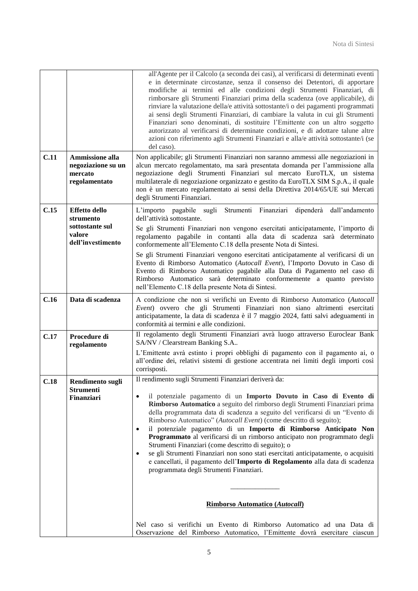|      |                                                                                     | all'Agente per il Calcolo (a seconda dei casi), al verificarsi di determinati eventi<br>e in determinate circostanze, senza il consenso dei Detentori, di apportare<br>modifiche ai termini ed alle condizioni degli Strumenti Finanziari, di<br>rimborsare gli Strumenti Finanziari prima della scadenza (ove applicabile), di<br>rinviare la valutazione della/e attività sottostante/i o dei pagamenti programmati<br>ai sensi degli Strumenti Finanziari, di cambiare la valuta in cui gli Strumenti<br>Finanziari sono denominati, di sostituire l'Emittente con un altro soggetto<br>autorizzato al verificarsi di determinate condizioni, e di adottare talune altre<br>azioni con riferimento agli Strumenti Finanziari e alla/e attività sottostante/i (se<br>del caso).                                                                                                                                                                                                                |
|------|-------------------------------------------------------------------------------------|--------------------------------------------------------------------------------------------------------------------------------------------------------------------------------------------------------------------------------------------------------------------------------------------------------------------------------------------------------------------------------------------------------------------------------------------------------------------------------------------------------------------------------------------------------------------------------------------------------------------------------------------------------------------------------------------------------------------------------------------------------------------------------------------------------------------------------------------------------------------------------------------------------------------------------------------------------------------------------------------------|
| C.11 | Ammissione alla<br>negoziazione su un<br>mercato<br>regolamentato                   | Non applicabile; gli Strumenti Finanziari non saranno ammessi alle negoziazioni in<br>alcun mercato regolamentato, ma sarà presentata domanda per l'ammissione alla<br>negoziazione degli Strumenti Finanziari sul mercato EuroTLX, un sistema<br>multilaterale di negoziazione organizzato e gestito da EuroTLX SIM S.p.A., il quale<br>non è un mercato regolamentato ai sensi della Direttiva 2014/65/UE sui Mercati<br>degli Strumenti Finanziari.                                                                                                                                                                                                                                                                                                                                                                                                                                                                                                                                           |
| C.15 | <b>Effetto</b> dello<br>strumento<br>sottostante sul<br>valore<br>dell'investimento | L'importo pagabile sugli Strumenti Finanziari<br>dipenderà<br>dall'andamento<br>dell'attività sottostante.<br>Se gli Strumenti Finanziari non vengono esercitati anticipatamente, l'importo di<br>regolamento pagabile in contanti alla data di scadenza sarà determinato<br>conformemente all'Elemento C.18 della presente Nota di Sintesi.<br>Se gli Strumenti Finanziari vengono esercitati anticipatamente al verificarsi di un<br>Evento di Rimborso Automatico (Autocall Event), l'Importo Dovuto in Caso di<br>Evento di Rimborso Automatico pagabile alla Data di Pagamento nel caso di<br>Rimborso Automatico sarà determinato conformemente a quanto previsto<br>nell'Elemento C.18 della presente Nota di Sintesi.                                                                                                                                                                                                                                                                    |
| C.16 | Data di scadenza                                                                    | A condizione che non si verifichi un Evento di Rimborso Automatico (Autocall<br>Event) ovvero che gli Strumenti Finanziari non siano altrimenti esercitati<br>anticipatamente, la data di scadenza è il 7 maggio 2024, fatti salvi adeguamenti in<br>conformità ai termini e alle condizioni.                                                                                                                                                                                                                                                                                                                                                                                                                                                                                                                                                                                                                                                                                                    |
| C.17 | Procedure di<br>regolamento                                                         | Il regolamento degli Strumenti Finanziari avrà luogo attraverso Euroclear Bank<br>SA/NV / Clearstream Banking S.A<br>L'Emittente avrà estinto i propri obblighi di pagamento con il pagamento ai, o<br>all'ordine dei, relativi sistemi di gestione accentrata nei limiti degli importi così<br>corrisposti.                                                                                                                                                                                                                                                                                                                                                                                                                                                                                                                                                                                                                                                                                     |
| C.18 | Rendimento sugli<br><b>Strumenti</b><br>Finanziari                                  | Il rendimento sugli Strumenti Finanziari deriverà da:<br>il potenziale pagamento di un Importo Dovuto in Caso di Evento di<br>Rimborso Automatico a seguito del rimborso degli Strumenti Finanziari prima<br>della programmata data di scadenza a seguito del verificarsi di un "Evento di<br>Rimborso Automatico" (Autocall Event) (come descritto di seguito);<br>il potenziale pagamento di un Importo di Rimborso Anticipato Non<br>$\bullet$<br>Programmato al verificarsi di un rimborso anticipato non programmato degli<br>Strumenti Finanziari (come descritto di seguito); o<br>se gli Strumenti Finanziari non sono stati esercitati anticipatamente, o acquisiti<br>e cancellati, il pagamento dell'Importo di Regolamento alla data di scadenza<br>programmata degli Strumenti Finanziari.<br>Rimborso Automatico (Autocall)<br>Nel caso si verifichi un Evento di Rimborso Automatico ad una Data di<br>Osservazione del Rimborso Automatico, l'Emittente dovrà esercitare ciascun |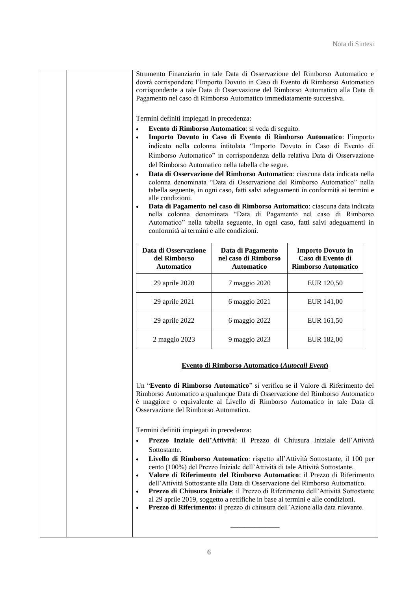| Strumento Finanziario in tale Data di Osservazione del Rimborso Automatico e    |
|---------------------------------------------------------------------------------|
| dovrà corrispondere l'Importo Dovuto in Caso di Evento di Rimborso Automatico   |
| corrispondente a tale Data di Osservazione del Rimborso Automatico alla Data di |
| Pagamento nel caso di Rimborso Automatico immediatamente successiva.            |

Termini definiti impiegati in precedenza:

- **Evento di Rimborso Automatico**: si veda di seguito.
- **Importo Dovuto in Caso di Evento di Rimborso Automatico**: l'importo indicato nella colonna intitolata "Importo Dovuto in Caso di Evento di Rimborso Automatico" in corrispondenza della relativa Data di Osservazione del Rimborso Automatico nella tabella che segue.
- **Data di Osservazione del Rimborso Automatico**: ciascuna data indicata nella colonna denominata "Data di Osservazione del Rimborso Automatico" nella tabella seguente, in ogni caso, fatti salvi adeguamenti in conformità ai termini e alle condizioni.
- **Data di Pagamento nel caso di Rimborso Automatico**: ciascuna data indicata nella colonna denominata "Data di Pagamento nel caso di Rimborso Automatico" nella tabella seguente, in ogni caso, fatti salvi adeguamenti in conformità ai termini e alle condizioni.

| Data di Osservazione<br>del Rimborso<br><b>Automatico</b> | Data di Pagamento<br>nel caso di Rimborso<br><b>Automatico</b> | <b>Importo Dovuto in</b><br>Caso di Evento di<br>Rimborso Automatico |  |
|-----------------------------------------------------------|----------------------------------------------------------------|----------------------------------------------------------------------|--|
| 29 aprile 2020                                            | 7 maggio 2020                                                  | EUR 120,50                                                           |  |
| 29 aprile 2021                                            | 6 maggio 2021                                                  | EUR 141,00                                                           |  |
| 29 aprile 2022                                            | 6 maggio 2022                                                  | EUR 161,50                                                           |  |
| 2 maggio 2023                                             | 9 maggio 2023                                                  | EUR 182,00                                                           |  |

## **Evento di Rimborso Automatico (***Autocall Event***)**

Un "**Evento di Rimborso Automatico**" si verifica se il Valore di Riferimento del Rimborso Automatico a qualunque Data di Osservazione del Rimborso Automatico è maggiore o equivalente al Livello di Rimborso Automatico in tale Data di Osservazione del Rimborso Automatico.

Termini definiti impiegati in precedenza:

- **Prezzo Inziale dell'Attività**: il Prezzo di Chiusura Iniziale dell'Attività Sottostante.
- **Livello di Rimborso Automatico**: rispetto all'Attività Sottostante, il 100 per cento (100%) del Prezzo Iniziale dell'Attività di tale Attività Sottostante.
- **Valore di Riferimento del Rimborso Automatico**: il Prezzo di Riferimento dell'Attività Sottostante alla Data di Osservazione del Rimborso Automatico.
- **Prezzo di Chiusura Iniziale**: il Prezzo di Riferimento dell'Attività Sottostante al 29 aprile 2019, soggetto a rettifiche in base ai termini e alle condizioni.

\_\_\_\_\_\_\_\_\_\_\_\_\_\_

**Prezzo di Riferimento:** il prezzo di chiusura dell'Azione alla data rilevante.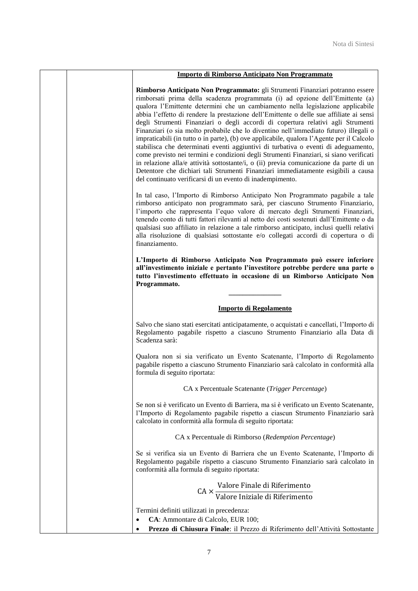### **Importo di Rimborso Anticipato Non Programmato**

**Rimborso Anticipato Non Programmato:** gli Strumenti Finanziari potranno essere rimborsati prima della scadenza programmata (i) ad opzione dell'Emittente (a) qualora l'Emittente determini che un cambiamento nella legislazione applicabile abbia l'effetto di rendere la prestazione dell'Emittente o delle sue affiliate ai sensi degli Strumenti Finanziari o degli accordi di copertura relativi agli Strumenti Finanziari (o sia molto probabile che lo diventino nell'immediato futuro) illegali o impraticabili (in tutto o in parte), (b) ove applicabile, qualora l'Agente per il Calcolo stabilisca che determinati eventi aggiuntivi di turbativa o eventi di adeguamento, come previsto nei termini e condizioni degli Strumenti Finanziari, si siano verificati in relazione alla/e attività sottostante/i, o (ii) previa comunicazione da parte di un Detentore che dichiari tali Strumenti Finanziari immediatamente esigibili a causa del continuato verificarsi di un evento di inadempimento.

In tal caso, l'Importo di Rimborso Anticipato Non Programmato pagabile a tale rimborso anticipato non programmato sarà, per ciascuno Strumento Finanziario, l'importo che rappresenta l'equo valore di mercato degli Strumenti Finanziari, tenendo conto di tutti fattori rilevanti al netto dei costi sostenuti dall'Emittente o da qualsiasi suo affiliato in relazione a tale rimborso anticipato, inclusi quelli relativi alla risoluzione di qualsiasi sottostante e/o collegati accordi di copertura o di finanziamento.

**L'Importo di Rimborso Anticipato Non Programmato può essere inferiore all'investimento iniziale e pertanto l'investitore potrebbe perdere una parte o tutto l'investimento effettuato in occasione di un Rimborso Anticipato Non Programmato.**

### **Importo di Regolamento**

**\_\_\_\_\_\_\_\_\_\_\_\_\_\_\_**

Salvo che siano stati esercitati anticipatamente, o acquistati e cancellati, l'Importo di Regolamento pagabile rispetto a ciascuno Strumento Finanziario alla Data di Scadenza sarà:

Qualora non si sia verificato un Evento Scatenante, l'Importo di Regolamento pagabile rispetto a ciascuno Strumento Finanziario sarà calcolato in conformità alla formula di seguito riportata:

CA x Percentuale Scatenante (*Trigger Percentage*)

Se non si è verificato un Evento di Barriera, ma si è verificato un Evento Scatenante, l'Importo di Regolamento pagabile rispetto a ciascun Strumento Finanziario sarà calcolato in conformità alla formula di seguito riportata:

#### CA x Percentuale di Rimborso (*Redemption Percentage*)

Se si verifica sia un Evento di Barriera che un Evento Scatenante, l'Importo di Regolamento pagabile rispetto a ciascuno Strumento Finanziario sarà calcolato in conformità alla formula di seguito riportata:

> $CA \times$ Valore Finale di Riferimento Valore Iniziale di Riferimento

Termini definiti utilizzati in precedenza:

- **CA**: Ammontare di Calcolo, EUR 100;
- **Prezzo di Chiusura Finale**: il Prezzo di Riferimento dell'Attività Sottostante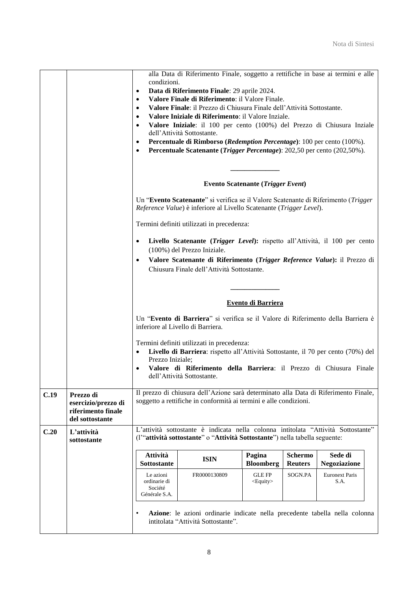|      |                                                                           | condizioni.<br>$\bullet$<br>$\bullet$<br>$\bullet$<br>$\bullet$<br>$\bullet$<br>$\bullet$<br>$\bullet$                                                                                                   | alla Data di Riferimento Finale, soggetto a rettifiche in base ai termini e alle<br>Data di Riferimento Finale: 29 aprile 2024.<br>Valore Finale di Riferimento: il Valore Finale.<br>Valore Finale: il Prezzo di Chiusura Finale dell'Attività Sottostante.<br>Valore Iniziale di Riferimento: il Valore Inziale.<br>Valore Iniziale: il 100 per cento (100%) del Prezzo di Chiusura Inziale<br>dell'Attività Sottostante.<br>Percentuale di Rimborso (Redemption Percentage): 100 per cento (100%).<br>Percentuale Scatenante (Trigger Percentage): 202,50 per cento (202,50%). |                                    |                                  |                               |  |
|------|---------------------------------------------------------------------------|----------------------------------------------------------------------------------------------------------------------------------------------------------------------------------------------------------|-----------------------------------------------------------------------------------------------------------------------------------------------------------------------------------------------------------------------------------------------------------------------------------------------------------------------------------------------------------------------------------------------------------------------------------------------------------------------------------------------------------------------------------------------------------------------------------|------------------------------------|----------------------------------|-------------------------------|--|
|      |                                                                           | <b>Evento Scatenante (Trigger Event)</b>                                                                                                                                                                 |                                                                                                                                                                                                                                                                                                                                                                                                                                                                                                                                                                                   |                                    |                                  |                               |  |
|      |                                                                           | Un "Evento Scatenante" si verifica se il Valore Scatenante di Riferimento (Trigger<br>Reference Value) è inferiore al Livello Scatenante (Trigger Level).                                                |                                                                                                                                                                                                                                                                                                                                                                                                                                                                                                                                                                                   |                                    |                                  |                               |  |
|      |                                                                           |                                                                                                                                                                                                          | Termini definiti utilizzati in precedenza:                                                                                                                                                                                                                                                                                                                                                                                                                                                                                                                                        |                                    |                                  |                               |  |
|      |                                                                           | Livello Scatenante (Trigger Level): rispetto all'Attività, il 100 per cento<br>٠<br>(100%) del Prezzo Iniziale.<br>Valore Scatenante di Riferimento (Trigger Reference Value): il Prezzo di<br>$\bullet$ |                                                                                                                                                                                                                                                                                                                                                                                                                                                                                                                                                                                   |                                    |                                  |                               |  |
|      |                                                                           | Chiusura Finale dell'Attività Sottostante.                                                                                                                                                               |                                                                                                                                                                                                                                                                                                                                                                                                                                                                                                                                                                                   |                                    |                                  |                               |  |
|      |                                                                           | <b>Evento di Barriera</b>                                                                                                                                                                                |                                                                                                                                                                                                                                                                                                                                                                                                                                                                                                                                                                                   |                                    |                                  |                               |  |
|      |                                                                           | Un "Evento di Barriera" si verifica se il Valore di Riferimento della Barriera è<br>inferiore al Livello di Barriera.                                                                                    |                                                                                                                                                                                                                                                                                                                                                                                                                                                                                                                                                                                   |                                    |                                  |                               |  |
|      |                                                                           | Termini definiti utilizzati in precedenza:<br>Livello di Barriera: rispetto all'Attività Sottostante, il 70 per cento (70%) del<br>$\bullet$<br>Prezzo Iniziale;                                         |                                                                                                                                                                                                                                                                                                                                                                                                                                                                                                                                                                                   |                                    |                                  |                               |  |
|      |                                                                           |                                                                                                                                                                                                          | Valore di Riferimento della Barriera: il Prezzo di Chiusura Finale<br>dell'Attività Sottostante.                                                                                                                                                                                                                                                                                                                                                                                                                                                                                  |                                    |                                  |                               |  |
| C.19 | Prezzo di<br>esercizio/prezzo di<br>riferimento finale<br>del sottostante |                                                                                                                                                                                                          | Il prezzo di chiusura dell'Azione sarà determinato alla Data di Riferimento Finale,<br>soggetto a rettifiche in conformità ai termini e alle condizioni.                                                                                                                                                                                                                                                                                                                                                                                                                          |                                    |                                  |                               |  |
| C.20 | L'attività<br>sottostante                                                 |                                                                                                                                                                                                          | L'attività sottostante è indicata nella colonna intitolata "Attività Sottostante"<br>(l'"attività sottostante" o "Attività Sottostante") nella tabella seguente:                                                                                                                                                                                                                                                                                                                                                                                                                  |                                    |                                  |                               |  |
|      |                                                                           | Attività<br><b>Sottostante</b>                                                                                                                                                                           | <b>ISIN</b>                                                                                                                                                                                                                                                                                                                                                                                                                                                                                                                                                                       | Pagina<br><b>Bloomberg</b>         | <b>Schermo</b><br><b>Reuters</b> | Sede di<br>Negoziazione       |  |
|      |                                                                           | Le azioni<br>ordinarie di<br>Société<br>Générale S.A.                                                                                                                                                    | FR0000130809                                                                                                                                                                                                                                                                                                                                                                                                                                                                                                                                                                      | <b>GLE FP</b><br><equity></equity> | SOGN.PA                          | <b>Euronext Paris</b><br>S.A. |  |
|      |                                                                           | ٠                                                                                                                                                                                                        | Azione: le azioni ordinarie indicate nella precedente tabella nella colonna<br>intitolata "Attività Sottostante".                                                                                                                                                                                                                                                                                                                                                                                                                                                                 |                                    |                                  |                               |  |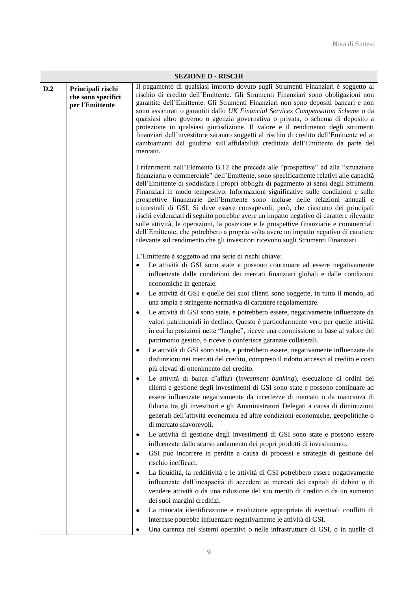|     | <b>SEZIONE D - RISCHI</b>                                  |                                                                                                                                                                                                                                                                                                                                                                                                                                                                                                                                                                                                                                                                                                                                                                                                                                                                                                     |  |  |  |  |
|-----|------------------------------------------------------------|-----------------------------------------------------------------------------------------------------------------------------------------------------------------------------------------------------------------------------------------------------------------------------------------------------------------------------------------------------------------------------------------------------------------------------------------------------------------------------------------------------------------------------------------------------------------------------------------------------------------------------------------------------------------------------------------------------------------------------------------------------------------------------------------------------------------------------------------------------------------------------------------------------|--|--|--|--|
| D.2 | Principali rischi<br>che sono specifici<br>per l'Emittente | Il pagamento di qualsiasi importo dovuto sugli Strumenti Finanziari è soggetto al<br>rischio di credito dell'Emittente. Gli Strumenti Finanziari sono obbligazioni non<br>garantite dell'Emittente. Gli Strumenti Finanziari non sono depositi bancari e non<br>sono assicurati o garantiti dallo UK Financial Services Compensation Scheme o da<br>qualsiasi altro governo o agenzia governativa o privata, o schema di deposito a<br>protezione in qualsiasi giurisdizione. Il valore e il rendimento degli strumenti<br>finanziari dell'investitore saranno soggetti al rischio di credito dell'Emittente ed ai<br>cambiamenti del giudizio sull'affidabilità creditizia dell'Emittente da parte del<br>mercato.                                                                                                                                                                                 |  |  |  |  |
|     |                                                            | I riferimenti nell'Elemento B.12 che precede alle "prospettive" ed alla "situazione<br>finanziaria o commerciale" dell'Emittente, sono specificamente relativi alle capacità<br>dell'Emittente di soddisfare i propri obblighi di pagamento ai sensi degli Strumenti<br>Finanziari in modo tempestivo. Informazioni significative sulle condizioni e sulle<br>prospettive finanziarie dell'Emittente sono incluse nelle relazioni annuali e<br>trimestrali di GSI. Si deve essere consapevoli, però, che ciascuno dei principali<br>rischi evidenziati di seguito potrebbe avere un impatto negativo di carattere rilevante<br>sulle attività, le operazioni, la posizione e le prospettive finanziarie e commerciali<br>dell'Emittente, che potrebbero a propria volta avere un impatto negativo di carattere<br>rilevante sul rendimento che gli investitori ricevono sugli Strumenti Finanziari. |  |  |  |  |
|     |                                                            | L'Emittente è soggetto ad una serie di rischi chiave:<br>Le attività di GSI sono state e possono continuare ad essere negativamente<br>influenzate dalle condizioni dei mercati finanziari globali e dalle condizioni                                                                                                                                                                                                                                                                                                                                                                                                                                                                                                                                                                                                                                                                               |  |  |  |  |
|     |                                                            | economiche in generale.<br>Le attività di GSI e quelle dei suoi clienti sono soggette, in tutto il mondo, ad<br>$\bullet$<br>una ampia e stringente normativa di carattere regolamentare.                                                                                                                                                                                                                                                                                                                                                                                                                                                                                                                                                                                                                                                                                                           |  |  |  |  |
|     |                                                            | Le attività di GSI sono state, e potrebbero essere, negativamente influenzate da<br>٠<br>valori patrimoniali in declino. Questo è particolarmente vero per quelle attività<br>in cui ha posizioni nette "lunghe", riceve una commissione in base al valore del<br>patrimonio gestito, o riceve o conferisce garanzie collaterali.                                                                                                                                                                                                                                                                                                                                                                                                                                                                                                                                                                   |  |  |  |  |
|     |                                                            | Le attività di GSI sono state, e potrebbero essere, negativamente influenzate da<br>٠<br>disfunzioni nei mercati del credito, compreso il ridotto accesso al credito e costi<br>più elevati di ottenimento del credito.                                                                                                                                                                                                                                                                                                                                                                                                                                                                                                                                                                                                                                                                             |  |  |  |  |
|     |                                                            | Le attività di banca d'affari (investment banking), esecuzione di ordini dei<br>clienti e gestione degli investimenti di GSI sono state e possono continuare ad<br>essere influenzate negativamente da incertezze di mercato o da mancanza di<br>fiducia tra gli investitori e gli Amministratori Delegati a causa di diminuzioni<br>generali dell'attività economica ed altre condizioni economiche, geopolitiche o<br>di mercato sfavorevoli.                                                                                                                                                                                                                                                                                                                                                                                                                                                     |  |  |  |  |
|     |                                                            | Le attività di gestione degli investimenti di GSI sono state e possono essere<br>٠<br>influenzate dallo scarso andamento dei propri prodotti di investimento.<br>GSI può incorrere in perdite a causa di processi e strategie di gestione del<br>rischio inefficaci.                                                                                                                                                                                                                                                                                                                                                                                                                                                                                                                                                                                                                                |  |  |  |  |
|     |                                                            | La liquidità, la redditività e le attività di GSI potrebbero essere negativamente<br>influenzate dall'incapacità di accedere ai mercati dei capitali di debito o di<br>vendere attività o da una riduzione del suo merito di credito o da un aumento<br>dei suoi margini creditizi.                                                                                                                                                                                                                                                                                                                                                                                                                                                                                                                                                                                                                 |  |  |  |  |
|     |                                                            | La mancata identificazione e risoluzione appropriata di eventuali conflitti di<br>٠<br>interesse potrebbe influenzare negativamente le attività di GSI.<br>Una carenza nei sistemi operativi o nelle infrastrutture di GSI, o in quelle di                                                                                                                                                                                                                                                                                                                                                                                                                                                                                                                                                                                                                                                          |  |  |  |  |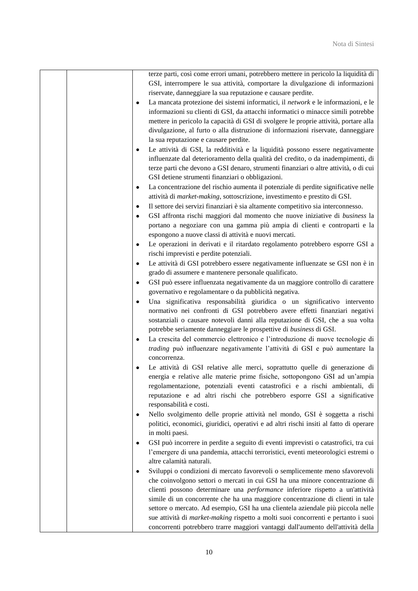|  |           | terze parti, così come errori umani, potrebbero mettere in pericolo la liquidità di    |
|--|-----------|----------------------------------------------------------------------------------------|
|  |           | GSI, interrompere le sua attività, comportare la divulgazione di informazioni          |
|  |           | riservate, danneggiare la sua reputazione e causare perdite.                           |
|  |           | La mancata protezione dei sistemi informatici, il network e le informazioni, e le      |
|  |           | informazioni su clienti di GSI, da attacchi informatici o minacce simili potrebbe      |
|  |           | mettere in pericolo la capacità di GSI di svolgere le proprie attività, portare alla   |
|  |           | divulgazione, al furto o alla distruzione di informazioni riservate, danneggiare       |
|  |           | la sua reputazione e causare perdite.                                                  |
|  |           |                                                                                        |
|  |           | Le attività di GSI, la redditività e la liquidità possono essere negativamente         |
|  |           | influenzate dal deterioramento della qualità del credito, o da inadempimenti, di       |
|  |           | terze parti che devono a GSI denaro, strumenti finanziari o altre attività, o di cui   |
|  |           | GSI detiene strumenti finanziari o obbligazioni.                                       |
|  | ٠         | La concentrazione del rischio aumenta il potenziale di perdite significative nelle     |
|  |           | attività di market-making, sottoscrizione, investimento e prestito di GSI.             |
|  | ٠         | Il settore dei servizi finanziari è sia altamente competitivo sia interconnesso.       |
|  |           | GSI affronta rischi maggiori dal momento che nuove iniziative di business la           |
|  |           | portano a negoziare con una gamma più ampia di clienti e controparti e la              |
|  |           | espongono a nuove classi di attività e nuovi mercati.                                  |
|  |           | Le operazioni in derivati e il ritardato regolamento potrebbero esporre GSI a          |
|  |           | rischi imprevisti e perdite potenziali.                                                |
|  |           | Le attività di GSI potrebbero essere negativamente influenzate se GSI non è in         |
|  |           | grado di assumere e mantenere personale qualificato.                                   |
|  |           | GSI può essere influenzata negativamente da un maggiore controllo di carattere         |
|  |           | governativo e regolamentare o da pubblicità negativa.                                  |
|  | $\bullet$ | Una significativa responsabilità giuridica o un significativo intervento               |
|  |           |                                                                                        |
|  |           | normativo nei confronti di GSI potrebbero avere effetti finanziari negativi            |
|  |           | sostanziali o causare notevoli danni alla reputazione di GSI, che a sua volta          |
|  |           | potrebbe seriamente danneggiare le prospettive di business di GSI.                     |
|  | $\bullet$ | La crescita del commercio elettronico e l'introduzione di nuove tecnologie di          |
|  |           | trading può influenzare negativamente l'attività di GSI e può aumentare la             |
|  |           | concorrenza.                                                                           |
|  |           | Le attività di GSI relative alle merci, soprattutto quelle di generazione di           |
|  |           | energia e relative alle materie prime fisiche, sottopongono GSI ad un'ampia            |
|  |           | regolamentazione, potenziali eventi catastrofici e a rischi ambientali, di             |
|  |           | reputazione e ad altri rischi che potrebbero esporre GSI a significative               |
|  |           | responsabilità e costi.                                                                |
|  |           | Nello svolgimento delle proprie attività nel mondo, GSI è soggetta a rischi            |
|  |           | politici, economici, giuridici, operativi e ad altri rischi insiti al fatto di operare |
|  |           | in molti paesi.                                                                        |
|  |           | GSI può incorrere in perdite a seguito di eventi imprevisti o catastrofici, tra cui    |
|  |           | l'emergere di una pandemia, attacchi terroristici, eventi meteorologici estremi o      |
|  |           | altre calamità naturali.                                                               |
|  |           | Sviluppi o condizioni di mercato favorevoli o semplicemente meno sfavorevoli           |
|  |           | che coinvolgono settori o mercati in cui GSI ha una minore concentrazione di           |
|  |           | clienti possono determinare una performance inferiore rispetto a un'attività           |
|  |           |                                                                                        |
|  |           | simile di un concorrente che ha una maggiore concentrazione di clienti in tale         |
|  |           | settore o mercato. Ad esempio, GSI ha una clientela aziendale più piccola nelle        |
|  |           | sue attività di market-making rispetto a molti suoi concorrenti e pertanto i suoi      |
|  |           | concorrenti potrebbero trarre maggiori vantaggi dall'aumento dell'attività della       |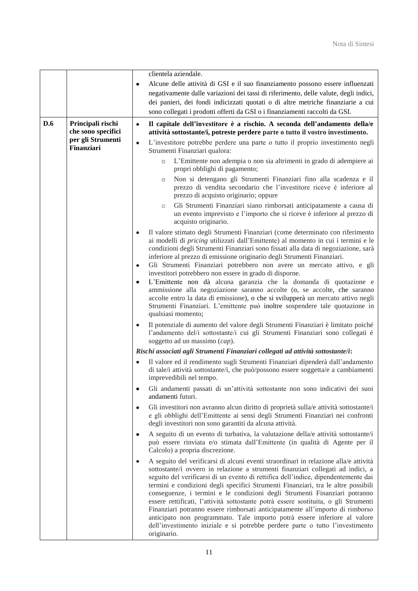|     |                                         |           | clientela aziendale.                                                                                                                                                                                                                                                                                                                                                                                                                                                                                                                                                                                                                                                                                                                                                                  |
|-----|-----------------------------------------|-----------|---------------------------------------------------------------------------------------------------------------------------------------------------------------------------------------------------------------------------------------------------------------------------------------------------------------------------------------------------------------------------------------------------------------------------------------------------------------------------------------------------------------------------------------------------------------------------------------------------------------------------------------------------------------------------------------------------------------------------------------------------------------------------------------|
|     |                                         |           | Alcune delle attività di GSI e il suo finanziamento possono essere influenzati<br>negativamente dalle variazioni dei tassi di riferimento, delle valute, degli indici,<br>dei panieri, dei fondi indicizzati quotati o di altre metriche finanziarie a cui<br>sono collegati i prodotti offerti da GSI o i finanziamenti raccolti da GSI.                                                                                                                                                                                                                                                                                                                                                                                                                                             |
| D.6 | Principali rischi<br>che sono specifici | $\bullet$ | Il capitale dell'investitore è a rischio. A seconda dell'andamento della/e<br>attività sottostante/i, potreste perdere parte o tutto il vostro investimento.                                                                                                                                                                                                                                                                                                                                                                                                                                                                                                                                                                                                                          |
|     | per gli Strumenti<br>Finanziari         | $\bullet$ | L'investitore potrebbe perdere una parte o tutto il proprio investimento negli<br>Strumenti Finanziari qualora:                                                                                                                                                                                                                                                                                                                                                                                                                                                                                                                                                                                                                                                                       |
|     |                                         |           | L'Emittente non adempia o non sia altrimenti in grado di adempiere ai<br>$\circ$<br>propri obblighi di pagamento;                                                                                                                                                                                                                                                                                                                                                                                                                                                                                                                                                                                                                                                                     |
|     |                                         |           | Non si detengano gli Strumenti Finanziari fino alla scadenza e il<br>$\circ$<br>prezzo di vendita secondario che l'investitore riceve è inferiore al<br>prezzo di acquisto originario; oppure                                                                                                                                                                                                                                                                                                                                                                                                                                                                                                                                                                                         |
|     |                                         |           | Gli Strumenti Finanziari siano rimborsati anticipatamente a causa di<br>$\circ$<br>un evento imprevisto e l'importo che si riceve è inferiore al prezzo di<br>acquisto originario.                                                                                                                                                                                                                                                                                                                                                                                                                                                                                                                                                                                                    |
|     |                                         | $\bullet$ | Il valore stimato degli Strumenti Finanziari (come determinato con riferimento<br>ai modelli di <i>pricing</i> utilizzati dall'Emittente) al momento in cui i termini e le<br>condizioni degli Strumenti Finanziari sono fissati alla data di negoziazione, sarà<br>inferiore al prezzo di emissione originario degli Strumenti Finanziari.                                                                                                                                                                                                                                                                                                                                                                                                                                           |
|     |                                         | ٠         | Gli Strumenti Finanziari potrebbero non avere un mercato attivo, e gli<br>investitori potrebbero non essere in grado di disporne.                                                                                                                                                                                                                                                                                                                                                                                                                                                                                                                                                                                                                                                     |
|     |                                         | ٠         | L'Emittente non dà alcuna garanzia che la domanda di quotazione e<br>ammissione alla negoziazione saranno accolte (o, se accolte, che saranno<br>accolte entro la data di emissione), o che si svilupperà un mercato attivo negli<br>Strumenti Finanziari. L'emittente può inoltre sospendere tale quotazione in<br>qualsiasi momento;                                                                                                                                                                                                                                                                                                                                                                                                                                                |
|     |                                         | ۰         | Il potenziale di aumento del valore degli Strumenti Finanziari è limitato poiché<br>l'andamento del/i sottostante/i cui gli Strumenti Finanziari sono collegati è<br>soggetto ad un massimo (cap).                                                                                                                                                                                                                                                                                                                                                                                                                                                                                                                                                                                    |
|     |                                         |           | Rischi associati agli Strumenti Finanziari collegati ad attività sottostante/i:                                                                                                                                                                                                                                                                                                                                                                                                                                                                                                                                                                                                                                                                                                       |
|     |                                         |           | Il valore ed il rendimento sugli Strumenti Finanziari dipenderà dall'andamento<br>di tale/i attività sottostante/i, che può/possono essere soggetta/e a cambiamenti<br>imprevedibili nel tempo.                                                                                                                                                                                                                                                                                                                                                                                                                                                                                                                                                                                       |
|     |                                         |           | Gli andamenti passati di un'attività sottostante non sono indicativi dei suoi<br>andamenti futuri.                                                                                                                                                                                                                                                                                                                                                                                                                                                                                                                                                                                                                                                                                    |
|     |                                         | ٠         | Gli investitori non avranno alcun diritto di proprietà sulla/e attività sottostante/i<br>e gli obblighi dell'Emittente ai sensi degli Strumenti Finanziari nei confronti<br>degli investitori non sono garantiti da alcuna attività.                                                                                                                                                                                                                                                                                                                                                                                                                                                                                                                                                  |
|     |                                         | ٠         | A seguito di un evento di turbativa, la valutazione della/e attività sottostante/i<br>può essere rinviata e/o stimata dall'Emittente (in qualità di Agente per il<br>Calcolo) a propria discrezione.                                                                                                                                                                                                                                                                                                                                                                                                                                                                                                                                                                                  |
|     |                                         | ٠         | A seguito del verificarsi di alcuni eventi straordinari in relazione alla/e attività<br>sottostante/i ovvero in relazione a strumenti finanziari collegati ad indici, a<br>seguito del verificarsi di un evento di rettifica dell'indice, dipendentemente dai<br>termini e condizioni degli specifici Strumenti Finanziari, tra le altre possibili<br>conseguenze, i termini e le condizioni degli Strumenti Finanziari potranno<br>essere rettificati, l'attività sottostante potrà essere sostituita, o gli Strumenti<br>Finanziari potranno essere rimborsati anticipatamente all'importo di rimborso<br>anticipato non programmato. Tale importo potrà essere inferiore al valore<br>dell'investimento iniziale e si potrebbe perdere parte o tutto l'investimento<br>originario. |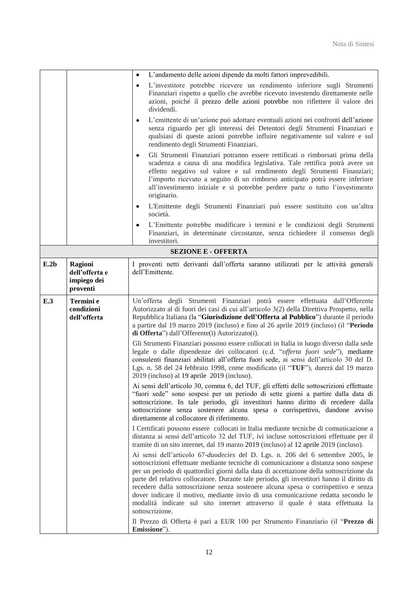|                                                |                                                      | L'andamento delle azioni dipende da molti fattori imprevedibili.<br>$\bullet$                                                                                                                                                                                                                                                                                                                                                                                                                                                                                                                                                                 |
|------------------------------------------------|------------------------------------------------------|-----------------------------------------------------------------------------------------------------------------------------------------------------------------------------------------------------------------------------------------------------------------------------------------------------------------------------------------------------------------------------------------------------------------------------------------------------------------------------------------------------------------------------------------------------------------------------------------------------------------------------------------------|
|                                                |                                                      | L'investitore potrebbe ricevere un rendimento inferiore sugli Strumenti<br>$\bullet$<br>Finanziari rispetto a quello che avrebbe ricevuto investendo direttamente nelle<br>azioni, poiché il prezzo delle azioni potrebbe non riflettere il valore dei<br>dividendi.                                                                                                                                                                                                                                                                                                                                                                          |
|                                                |                                                      | L'emittente di un'azione può adottare eventuali azioni nei confronti dell'azione<br>$\bullet$<br>senza riguardo per gli interessi dei Detentori degli Strumenti Finanziari e<br>qualsiasi di queste azioni potrebbe influire negativamente sul valore e sul<br>rendimento degli Strumenti Finanziari.                                                                                                                                                                                                                                                                                                                                         |
|                                                |                                                      | Gli Strumenti Finanziari potranno essere rettificati o rimborsati prima della<br>۰<br>scadenza a causa di una modifica legislativa. Tale rettifica potrà avere un<br>effetto negativo sul valore e sul rendimento degli Strumenti Finanziari;<br>l'importo ricevuto a seguito di un rimborso anticipato potrà essere inferiore<br>all'investimento iniziale e si potrebbe perdere parte o tutto l'investimento<br>originario.                                                                                                                                                                                                                 |
|                                                |                                                      | L'Emittente degli Strumenti Finanziari può essere sostituito con un'altra<br>$\bullet$<br>società.                                                                                                                                                                                                                                                                                                                                                                                                                                                                                                                                            |
|                                                |                                                      | L'Emittente potrebbe modificare i termini e le condizioni degli Strumenti<br>٠<br>Finanziari, in determinate circostanze, senza richiedere il consenso degli<br>investitori.                                                                                                                                                                                                                                                                                                                                                                                                                                                                  |
|                                                |                                                      | <b>SEZIONE E - OFFERTA</b>                                                                                                                                                                                                                                                                                                                                                                                                                                                                                                                                                                                                                    |
| E.2b                                           | Ragioni<br>dell'offerta e<br>impiego dei<br>proventi | I proventi netti derivanti dall'offerta saranno utilizzati per le attività generali<br>dell'Emittente.                                                                                                                                                                                                                                                                                                                                                                                                                                                                                                                                        |
| Termini e<br>E.3<br>condizioni<br>dell'offerta |                                                      | Un'offerta degli Strumenti Finanziari potrà essere effettuata dall'Offerente<br>Autorizzato al di fuori dei casi di cui all'articolo 3(2) della Direttiva Prospetto, nella<br>Repubblica Italiana (la "Giurisdizione dell'Offerta al Pubblico") durante il periodo<br>a partire dal 19 marzo 2019 (incluso) e fino al 26 aprile 2019 (incluso) (il "Periodo<br>di Offerta") dall'Offerente(i) Autorizzato(i).<br>Gli Strumenti Finanziari possono essere collocati in Italia in luogo diverso dalla sede                                                                                                                                      |
|                                                |                                                      | legale o dalle dipendenze dei collocatori (c.d. "offerta fuori sede"), mediante<br>consulenti finanziari abilitati all'offerta fuori sede, ai sensi dell'articolo 30 del D.<br>Lgs. n. 58 del 24 febbraio 1998, come modificato (il "TUF"), durerà dal 19 marzo<br>2019 (incluso) al 19 aprile 2019 (incluso).                                                                                                                                                                                                                                                                                                                                |
|                                                |                                                      | Ai sensi dell'articolo 30, comma 6, del TUF, gli effetti delle sottoscrizioni effettuate<br>"fuori sede" sono sospesi per un periodo di sette giorni a partire dalla data di<br>sottoscrizione. In tale periodo, gli investitori hanno diritto di recedere dalla<br>sottoscrizione senza sostenere alcuna spesa o corrispettivo, dandone avviso<br>direttamente al collocatore di riferimento.                                                                                                                                                                                                                                                |
|                                                |                                                      | I Certificati possono essere collocati in Italia mediante tecniche di comunicazione a<br>distanza ai sensi dell'articolo 32 del TUF, ivi incluse sottoscrizioni effettuate per il<br>tramite di un sito internet, dal 19 marzo 2019 (incluso) al 12 aprile 2019 (incluso).                                                                                                                                                                                                                                                                                                                                                                    |
|                                                |                                                      | Ai sensi dell'articolo 67-duodecies del D. Lgs. n. 206 del 6 settembre 2005, le<br>sottoscrizioni effettuate mediante tecniche di comunicazione a distanza sono sospese<br>per un periodo di quattordici giorni dalla data di accettazione della sottoscrizione da<br>parte del relativo collocatore. Durante tale periodo, gli investitori hanno il diritto di<br>recedere dalla sottoscrizione senza sostenere alcuna spesa o corrispettivo e senza<br>dover indicare il motivo, mediante invio di una comunicazione redatta secondo le<br>modalità indicate sul sito internet attraverso il quale è stata effettuata la<br>sottoscrizione. |
|                                                |                                                      | Il Prezzo di Offerta è pari a EUR 100 per Strumento Finanziario (il "Prezzo di<br>Emissione").                                                                                                                                                                                                                                                                                                                                                                                                                                                                                                                                                |